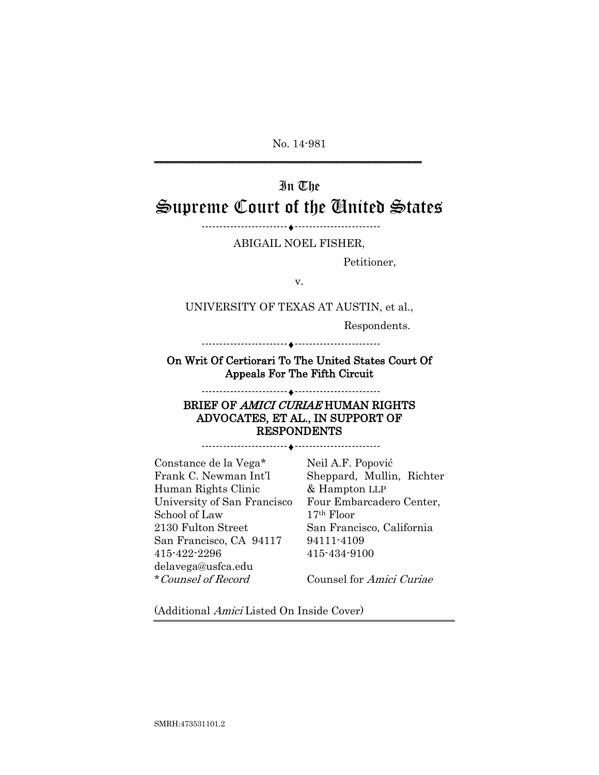No. 14-981

 $\frac{1}{2}$  , and the set of the set of the set of the set of the set of the set of the set of the set of the set of the set of the set of the set of the set of the set of the set of the set of the set of the set of the set

# In The Supreme Court of the United States

------------------------♦------------------------

ABIGAIL NOEL FISHER,

Petitioner,

v.

UNIVERSITY OF TEXAS AT AUSTIN, et al.,

Respondents.

------------------------♦------------------------

On Writ Of Certiorari To The United States Court Of Appeals For The Fifth Circuit

## ------------------------♦------------------------ BRIEF OF AMICI CURIAE HUMAN RIGHTS ADVOCATES, ET AL., IN SUPPORT OF RESPONDENTS

------------------------♦------------------------

Constance de la Vega\* Frank C. Newman Int'l Human Rights Clinic University of San Francisco School of Law 2130 Fulton Street San Francisco, CA 94117 415-422-2296 delavega@usfca.edu \*Counsel of Record

Neil A.F. Popović Sheppard, Mullin, Richter & Hampton LLP Four Embarcadero Center, 17th Floor San Francisco, California 94111-4109 415-434-9100

Counsel for Amici Curiae

(Additional Amici Listed On Inside Cover)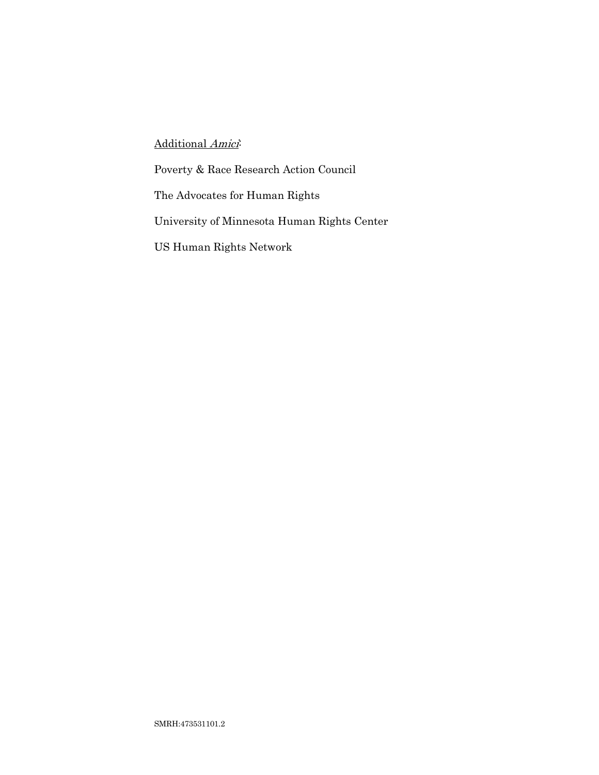# Additional Amici-

Poverty & Race Research Action Council

The Advocates for Human Rights

University of Minnesota Human Rights Center

US Human Rights Network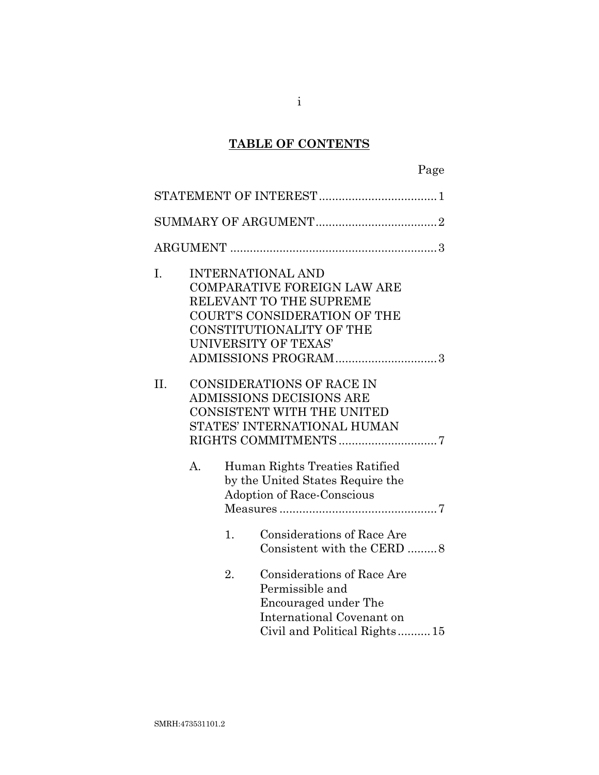# **TABLE OF CONTENTS**

| I.  |                |    | <b>INTERNATIONAL AND</b><br><b>COMPARATIVE FOREIGN LAW ARE</b><br>RELEVANT TO THE SUPREME<br><b>COURT'S CONSIDERATION OF THE</b><br>CONSTITUTIONALITY OF THE<br>UNIVERSITY OF TEXAS'<br>ADMISSIONS PROGRAM3 |
|-----|----------------|----|-------------------------------------------------------------------------------------------------------------------------------------------------------------------------------------------------------------|
| II. | A <sub>1</sub> |    | <b>CONSIDERATIONS OF RACE IN</b><br><b>ADMISSIONS DECISIONS ARE</b><br><b>CONSISTENT WITH THE UNITED</b><br>STATES' INTERNATIONAL HUMAN<br>Human Rights Treaties Ratified                                   |
|     |                | 1. | by the United States Require the<br>Adoption of Race-Conscious<br><b>Considerations of Race Are</b><br>Consistent with the CERD 8                                                                           |
|     |                | 2. | <b>Considerations of Race Are</b><br>Permissible and<br>Encouraged under The<br>International Covenant on<br>Civil and Political Rights15                                                                   |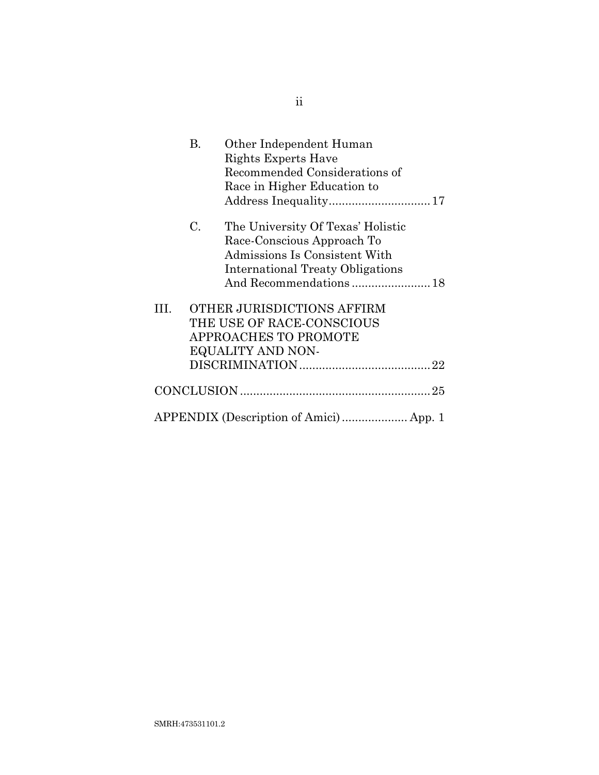|    | В. | Other Independent Human<br>Rights Experts Have<br>Recommended Considerations of<br>Race in Higher Education to                                                        |
|----|----|-----------------------------------------------------------------------------------------------------------------------------------------------------------------------|
|    | C. | The University Of Texas' Holistic<br>Race-Conscious Approach To<br>Admissions Is Consistent With<br><b>International Treaty Obligations</b><br>And Recommendations 18 |
| Ш. |    | OTHER JURISDICTIONS AFFIRM<br>THE USE OF RACE-CONSCIOUS<br>APPROACHES TO PROMOTE<br>EQUALITY AND NON-                                                                 |
|    |    |                                                                                                                                                                       |
|    |    |                                                                                                                                                                       |

ii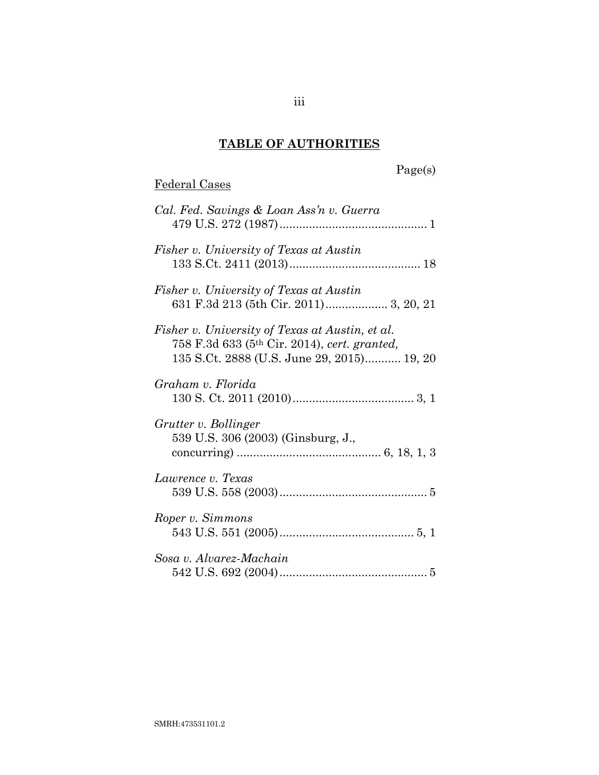# **TABLE OF AUTHORITIES**

# Page(s)

# Federal Cases

| Cal. Fed. Savings & Loan Ass'n v. Guerra                                                                                                                  |
|-----------------------------------------------------------------------------------------------------------------------------------------------------------|
| Fisher v. University of Texas at Austin                                                                                                                   |
| Fisher v. University of Texas at Austin<br>631 F.3d 213 (5th Cir. 2011) 3, 20, 21                                                                         |
| Fisher v. University of Texas at Austin, et al.<br>758 F.3d 633 (5 <sup>th</sup> Cir. 2014), cert. granted,<br>135 S.Ct. 2888 (U.S. June 29, 2015) 19, 20 |
| Graham v. Florida                                                                                                                                         |
| Grutter v. Bollinger<br>539 U.S. 306 (2003) (Ginsburg, J.,                                                                                                |
| Lawrence v. Texas                                                                                                                                         |
| Roper v. Simmons                                                                                                                                          |
| Sosa v. Alvarez-Machain                                                                                                                                   |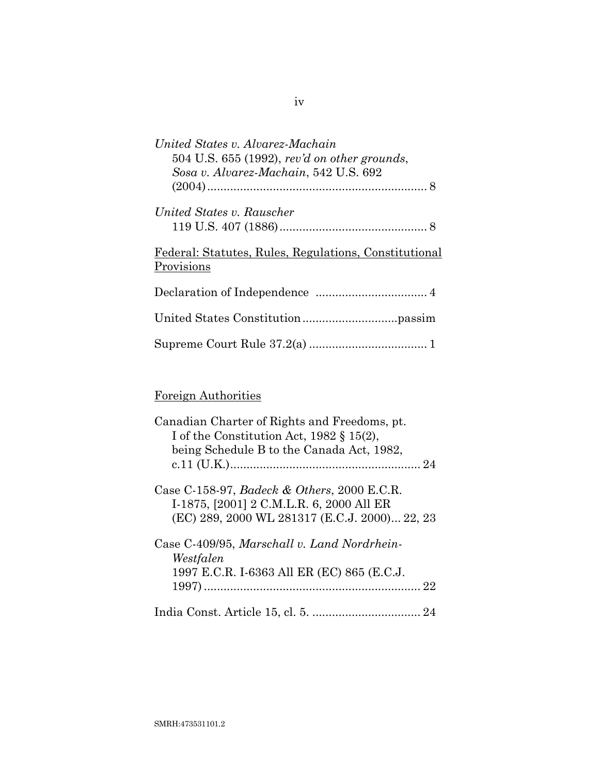| United States v. Alvarez-Machain                      |
|-------------------------------------------------------|
| $504$ U.S. 655 (1992), rev'd on other grounds,        |
| Sosa v. Alvarez-Machain, 542 U.S. 692                 |
|                                                       |
| United States v. Rauscher                             |
|                                                       |
| Federal: Statutes, Rules, Regulations, Constitutional |
| Provisions                                            |
|                                                       |
|                                                       |
|                                                       |
|                                                       |

# Foreign Authorities

| Canadian Charter of Rights and Freedoms, pt.<br>I of the Constitution Act, $1982 \t{3} 15(2)$ ,<br>being Schedule B to the Canada Act, 1982, |
|----------------------------------------------------------------------------------------------------------------------------------------------|
| Case C-158-97, Badeck & Others, 2000 E.C.R.<br>I-1875, [2001] 2 C.M.L.R. 6, 2000 All ER<br>(EC) 289, 2000 WL 281317 (E.C.J. 2000) 22, 23     |
| Case C-409/95, Marschall v. Land Nordrhein-<br>Westfalen<br>1997 E.C.R. I-6363 All ER (EC) 865 (E.C.J.                                       |
|                                                                                                                                              |

## iv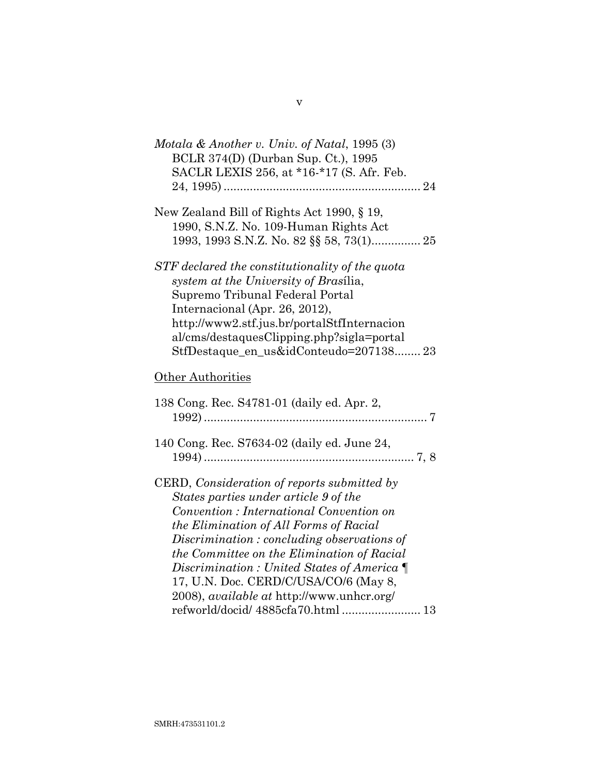| Motala & Another v. Univ. of Natal, 1995 $(3)$<br>BCLR 374(D) (Durban Sup. Ct.), 1995<br>SACLR LEXIS 256, at *16-*17 (S. Afr. Feb.                                                                                                                                                                                                                                                                                                                         |  |
|------------------------------------------------------------------------------------------------------------------------------------------------------------------------------------------------------------------------------------------------------------------------------------------------------------------------------------------------------------------------------------------------------------------------------------------------------------|--|
| New Zealand Bill of Rights Act 1990, § 19,<br>1990, S.N.Z. No. 109-Human Rights Act<br>1993, 1993 S.N.Z. No. 82 §§ 58, 73(1) 25                                                                                                                                                                                                                                                                                                                            |  |
| STF declared the constitutionality of the quota<br>system at the University of Brasilia,<br>Supremo Tribunal Federal Portal<br>Internacional (Apr. 26, 2012),<br>http://www2.stf.jus.br/portalStfInternacion<br>al/cms/destaquesClipping.php?sigla=portal<br>StfDestaque_en_us&idConteudo=207138 23                                                                                                                                                        |  |
| Other Authorities                                                                                                                                                                                                                                                                                                                                                                                                                                          |  |
| 138 Cong. Rec. S4781-01 (daily ed. Apr. 2,                                                                                                                                                                                                                                                                                                                                                                                                                 |  |
| 140 Cong. Rec. S7634-02 (daily ed. June 24,                                                                                                                                                                                                                                                                                                                                                                                                                |  |
| CERD, Consideration of reports submitted by<br>States parties under article 9 of the<br>Convention : International Convention on<br>the Elimination of All Forms of Racial<br>Discrimination: concluding observations of<br>the Committee on the Elimination of Racial<br>Discrimination: United States of America $\P$<br>17, U.N. Doc. CERD/C/USA/CO/6 (May 8,<br>2008), <i>available at http://www.unhcr.org/</i><br>refworld/docid/ 4885cfa70.html  13 |  |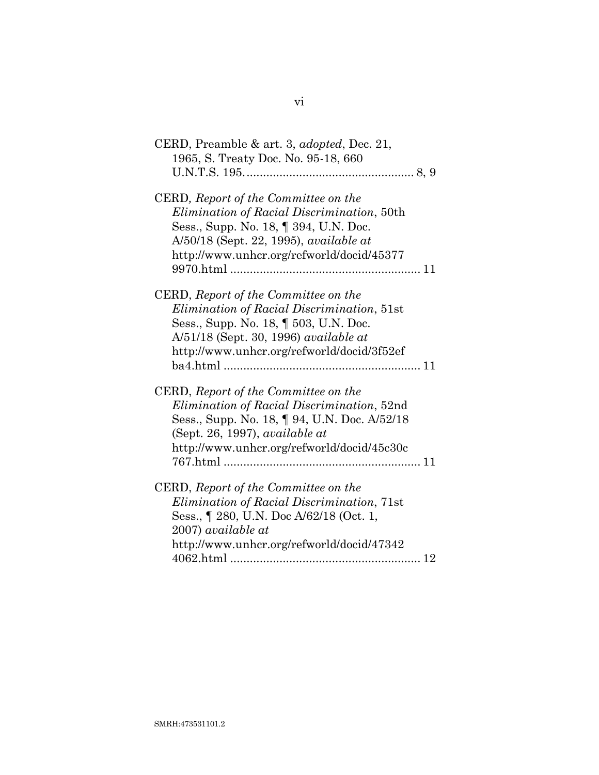| CERD, Preamble & art. 3, <i>adopted</i> , Dec. 21,<br>1965, S. Treaty Doc. No. 95-18, 660                                                                                                                                                    |
|----------------------------------------------------------------------------------------------------------------------------------------------------------------------------------------------------------------------------------------------|
|                                                                                                                                                                                                                                              |
| CERD, Report of the Committee on the<br><i>Elimination of Racial Discrimination</i> , 50th<br>Sess., Supp. No. 18, $\llbracket$ 394, U.N. Doc.<br>A/50/18 (Sept. 22, 1995), <i>available at</i><br>http://www.unhcr.org/refworld/docid/45377 |
| CERD, Report of the Committee on the<br>Elimination of Racial Discrimination, 51st<br>Sess., Supp. No. 18, $\parallel$ 503, U.N. Doc.<br>A/51/18 (Sept. 30, 1996) available at<br>http://www.unhcr.org/refworld/docid/3f52ef                 |
| CERD, Report of the Committee on the<br>Elimination of Racial Discrimination, 52nd<br>Sess., Supp. No. 18, 194, U.N. Doc. A/52/18<br>(Sept. 26, 1997), available at<br>http://www.unhcr.org/refworld/docid/45c30c                            |
| CERD, Report of the Committee on the<br><i>Elimination of Racial Discrimination, 71st</i><br>Sess., 1280, U.N. Doc A/62/18 (Oct. 1,<br>2007) available at<br>http://www.unhcr.org/refworld/docid/47342                                       |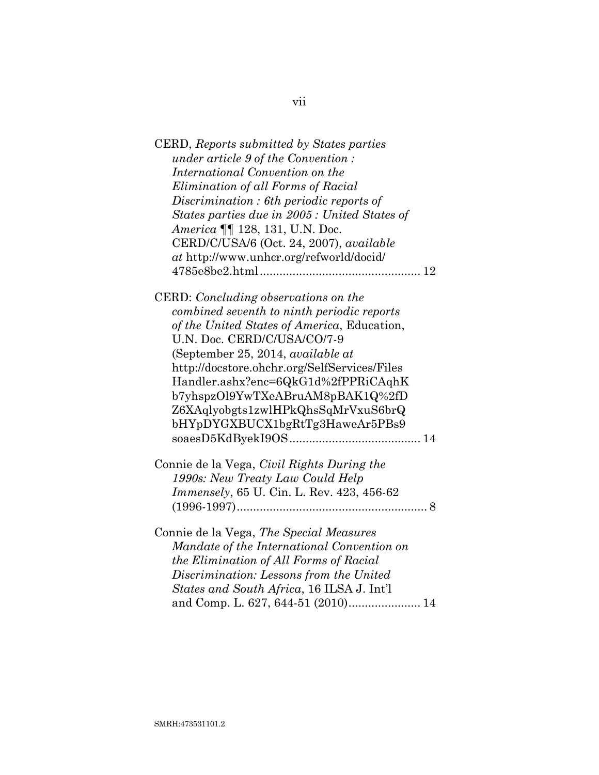| CERD, Reports submitted by States parties     |
|-----------------------------------------------|
| <i>under article 9 of the Convention:</i>     |
| International Convention on the               |
| Elimination of all Forms of Racial            |
| Discrimination : 6th periodic reports of      |
| States parties due in 2005 : United States of |
| America ¶¶ 128, 131, U.N. Doc.                |
| CERD/C/USA/6 (Oct. 24, 2007), available       |
| at http://www.unhcr.org/refworld/docid/       |
|                                               |
| CERD: Concluding observations on the          |
| combined seventh to ninth periodic reports    |
| of the United States of America, Education,   |
| U.N. Doc. CERD/C/USA/CO/7-9                   |
| (September 25, 2014, available at             |
| http://docstore.ohchr.org/SelfServices/Files  |
| Handler.ashx?enc=6QkG1d%2fPPRiCAqhK           |
| b7yhspzOl9YwTXeABruAM8pBAK1Q%2fD              |
| Z6XAqlyobgts1zwlHPkQhsSqMrVxuS6brQ            |
| bHYpDYGXBUCX1bgRtTg3HaweAr5PBs9               |
|                                               |
|                                               |
| Connie de la Vega, Civil Rights During the    |
| 1990s: New Treaty Law Could Help              |
| Immensely, 65 U. Cin. L. Rev. 423, 456-62     |
|                                               |
| Connie de la Vega, The Special Measures       |
| Mandate of the International Convention on    |
| the Elimination of All Forms of Racial        |
| Discrimination: Lessons from the United       |
| States and South Africa, 16 ILSA J. Int'l     |
|                                               |
|                                               |

vii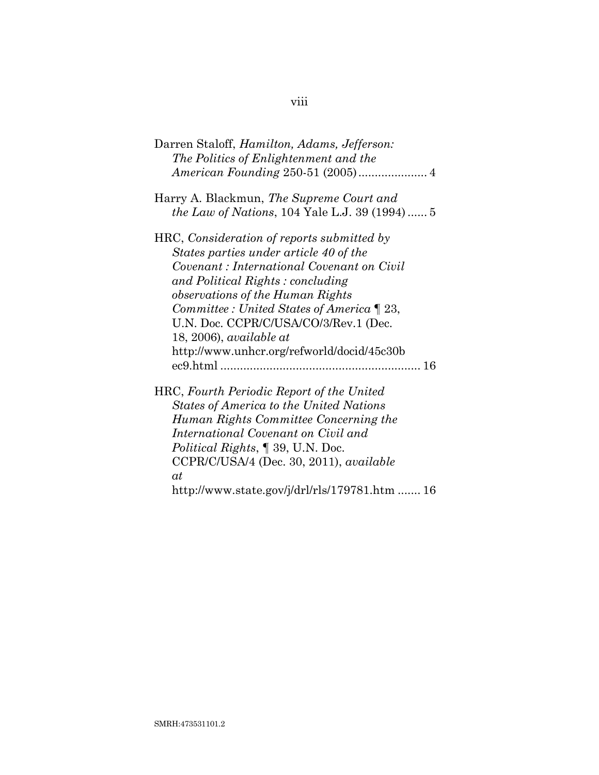| Darren Staloff, <i>Hamilton, Adams, Jefferson:</i><br>The Politics of Enlightenment and the                                                                                                                                                                                                                                                                                     |
|---------------------------------------------------------------------------------------------------------------------------------------------------------------------------------------------------------------------------------------------------------------------------------------------------------------------------------------------------------------------------------|
| Harry A. Blackmun, The Supreme Court and<br><i>the Law of Nations,</i> 104 Yale L.J. 39 $(1994)$ 5                                                                                                                                                                                                                                                                              |
| HRC, Consideration of reports submitted by<br>States parties under article 40 of the<br>Covenant : International Covenant on Civil<br>and Political Rights: concluding<br>observations of the Human Rights<br>Committee : United States of America $\P$ 23,<br>U.N. Doc. CCPR/C/USA/CO/3/Rev.1 (Dec.<br>$18, 2006$ , available at<br>http://www.unhcr.org/refworld/docid/45c30b |
| HRC, Fourth Periodic Report of the United<br><b>States of America to the United Nations</b><br>Human Rights Committee Concerning the<br>International Covenant on Civil and<br><i>Political Rights</i> , 1 39, U.N. Doc.<br>$CCPR/C/USA/4$ (Dec. 30, 2011), <i>available</i><br>at<br>http://www.state.gov/j/drl/rls/179781.htm  16                                             |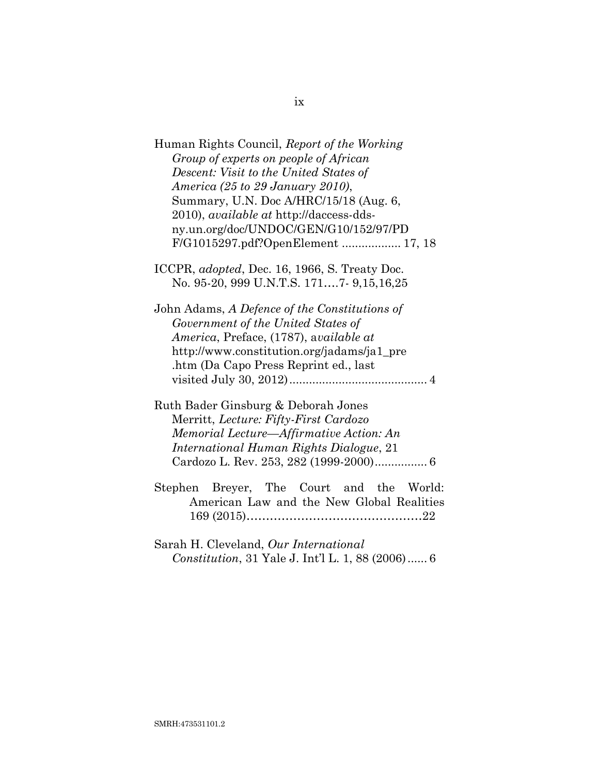| Human Rights Council, Report of the Working                                         |
|-------------------------------------------------------------------------------------|
| Group of experts on people of African                                               |
| Descent: Visit to the United States of                                              |
| America (25 to 29 January 2010),                                                    |
| Summary, U.N. Doc A/HRC/15/18 (Aug. 6,                                              |
| 2010), <i>available at</i> http://daccess-dds-                                      |
| ny.un.org/doc/UNDOC/GEN/G10/152/97/PD                                               |
| F/G1015297.pdf?OpenElement  17, 18                                                  |
| ICCPR, <i>adopted</i> , Dec. 16, 1966, S. Treaty Doc.                               |
| No. 95-20, 999 U.N.T.S. 1717- 9,15,16,25                                            |
| John Adams, A Defence of the Constitutions of<br>Government of the United States of |
| America, Preface, (1787), available at                                              |
| http://www.constitution.org/jadams/ja1_pre                                          |
| .htm (Da Capo Press Reprint ed., last                                               |
|                                                                                     |
| Ruth Bader Ginsburg & Deborah Jones                                                 |
| Merritt, Lecture: Fifty-First Cardozo                                               |
| Memorial Lecture-Affirmative Action: An                                             |
| International Human Rights Dialogue, 21                                             |
|                                                                                     |
| Stephen Breyer, The Court and the World:                                            |
| American Law and the New Global Realities                                           |
|                                                                                     |
|                                                                                     |

Sarah H. Cleveland, *Our International Constitution*, 31 Yale J. Int'l L. 1, 88 (2006)...... [6](#page-18-2)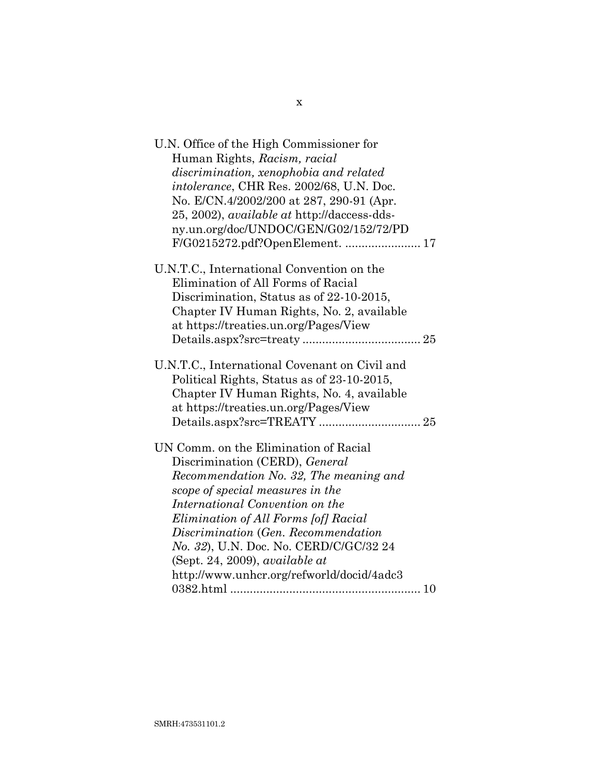| U.N. Office of the High Commissioner for           |  |
|----------------------------------------------------|--|
| Human Rights, Racism, racial                       |  |
| discrimination, xenophobia and related             |  |
| intolerance, CHR Res. 2002/68, U.N. Doc.           |  |
| No. E/CN.4/2002/200 at 287, 290-91 (Apr.           |  |
| 25, 2002), <i>available at http://daccess-dds-</i> |  |
| ny.un.org/doc/UNDOC/GEN/G02/152/72/PD              |  |
| F/G0215272.pdf?OpenElement.  17                    |  |
| U.N.T.C., International Convention on the          |  |
| Elimination of All Forms of Racial                 |  |
| Discrimination, Status as of 22-10-2015,           |  |
| Chapter IV Human Rights, No. 2, available          |  |
| at https://treaties.un.org/Pages/View              |  |
|                                                    |  |
| U.N.T.C., International Covenant on Civil and      |  |
| Political Rights, Status as of 23-10-2015,         |  |
| Chapter IV Human Rights, No. 4, available          |  |
| at https://treaties.un.org/Pages/View              |  |
|                                                    |  |
|                                                    |  |
| UN Comm. on the Elimination of Racial              |  |
| Discrimination (CERD), General                     |  |
| Recommendation No. 32, The meaning and             |  |
| scope of special measures in the                   |  |
| International Convention on the                    |  |
| Elimination of All Forms [of] Racial               |  |
| Discrimination (Gen. Recommendation                |  |
| No. 32), U.N. Doc. No. CERD/C/GC/32 24             |  |
| $(Sept. 24, 2009)$ , <i>available at</i>           |  |
| http://www.unhcr.org/refworld/docid/4adc3          |  |
|                                                    |  |

x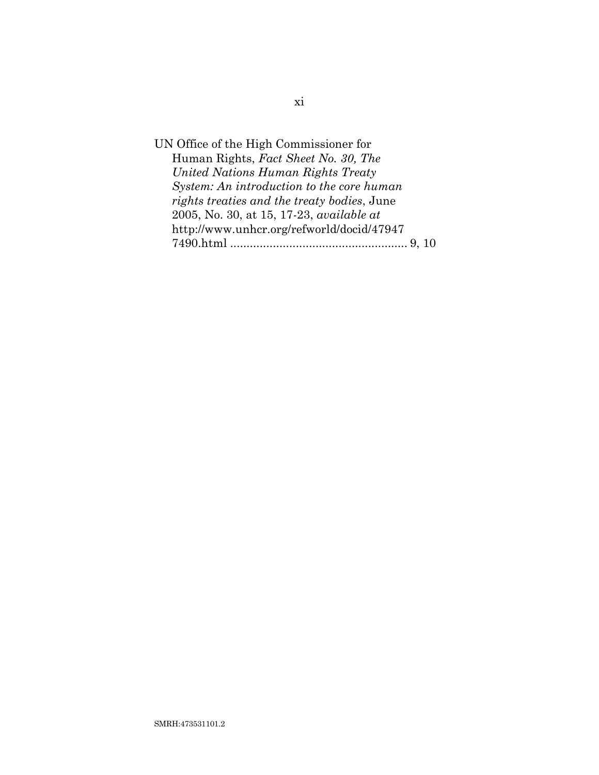UN Office of the High Commissioner for Human Rights, *Fact Sheet No. 30, The United Nations Human Rights Treaty System: An introduction to the core human rights treaties and the treaty bodies*, June 2005, No. 30, at 15, 17-23, *available at* http://www.unhcr.org/refworld/docid/47947 7490.html ...................................................... [9,](#page-21-1) [10](#page-22-1)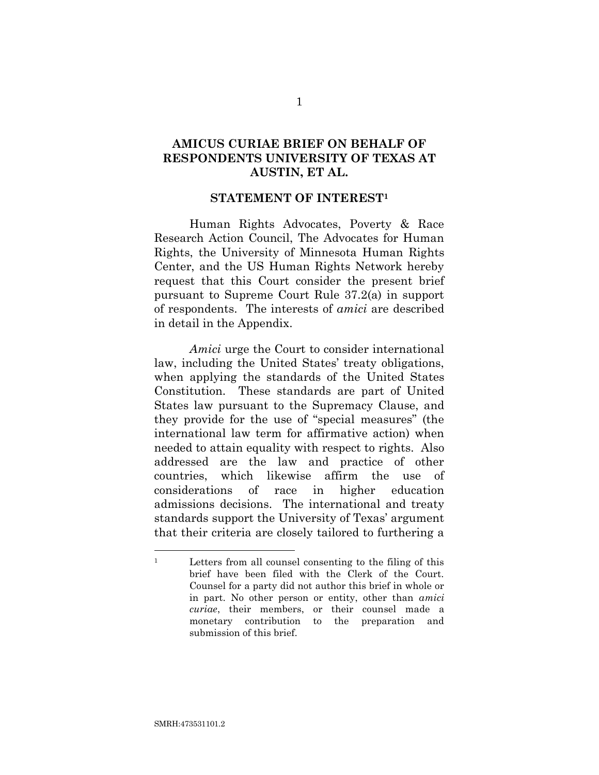## **AMICUS CURIAE BRIEF ON BEHALF OF RESPONDENTS UNIVERSITY OF TEXAS AT AUSTIN, ET AL.**

### **STATEMENT OF INTEREST<sup>1</sup>**

Human Rights Advocates, Poverty & Race Research Action Council, The Advocates for Human Rights, the University of Minnesota Human Rights Center, and the US Human Rights Network hereby request that this Court consider the present brief pursuant to Supreme Court Rule 37.2(a) in support of respondents. The interests of *amici* are described in detail in the Appendix.

<span id="page-13-0"></span>*Amici* urge the Court to consider international law, including the United States' treaty obligations, when applying the standards of the United States Constitution. These standards are part of United States law pursuant to the Supremacy Clause, and they provide for the use of "special measures" (the international law term for affirmative action) when needed to attain equality with respect to rights. Also addressed are the law and practice of other countries, which likewise affirm the use of considerations of race in higher education admissions decisions. The international and treaty standards support the University of Texas' argument that their criteria are closely tailored to furthering a

<sup>1</sup> Letters from all counsel consenting to the filing of this brief have been filed with the Clerk of the Court. Counsel for a party did not author this brief in whole or in part. No other person or entity, other than *amici curiae*, their members, or their counsel made a monetary contribution to the preparation and submission of this brief.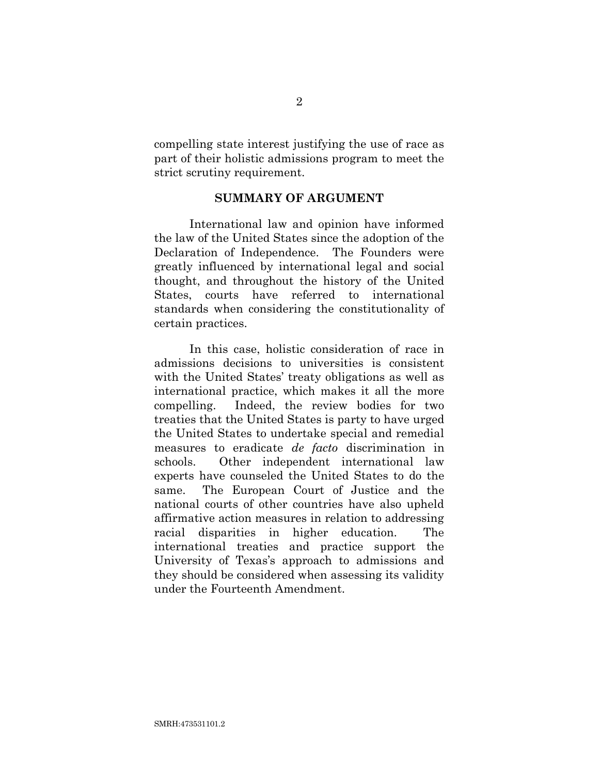compelling state interest justifying the use of race as part of their holistic admissions program to meet the strict scrutiny requirement.

## **SUMMARY OF ARGUMENT**

International law and opinion have informed the law of the United States since the adoption of the Declaration of Independence. The Founders were greatly influenced by international legal and social thought, and throughout the history of the United States, courts have referred to international standards when considering the constitutionality of certain practices.

In this case, holistic consideration of race in admissions decisions to universities is consistent with the United States' treaty obligations as well as international practice, which makes it all the more compelling. Indeed, the review bodies for two treaties that the United States is party to have urged the United States to undertake special and remedial measures to eradicate *de facto* discrimination in schools. Other independent international law experts have counseled the United States to do the same. The European Court of Justice and the national courts of other countries have also upheld affirmative action measures in relation to addressing racial disparities in higher education. The international treaties and practice support the University of Texas's approach to admissions and they should be considered when assessing its validity under the Fourteenth Amendment.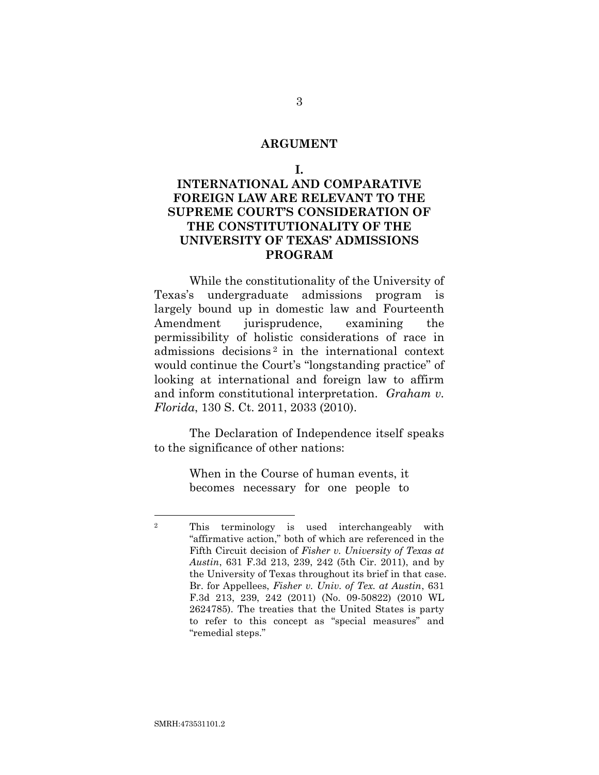#### **ARGUMENT**

#### **I.**

## **INTERNATIONAL AND COMPARATIVE FOREIGN LAW ARE RELEVANT TO THE SUPREME COURT'S CONSIDERATION OF THE CONSTITUTIONALITY OF THE UNIVERSITY OF TEXAS' ADMISSIONS PROGRAM**

While the constitutionality of the University of Texas's undergraduate admissions program is largely bound up in domestic law and Fourteenth Amendment jurisprudence, examining the permissibility of holistic considerations of race in admissions decisions <sup>2</sup> in the international context would continue the Court's "longstanding practice" of looking at international and foreign law to affirm and inform constitutional interpretation. *Graham v. Florida*, 130 S. Ct. 2011, 2033 (2010).

The Declaration of Independence itself speaks to the significance of other nations:

> <span id="page-15-1"></span><span id="page-15-0"></span>When in the Course of human events, it becomes necessary for one people to

<sup>2</sup> This terminology is used interchangeably with "affirmative action," both of which are referenced in the Fifth Circuit decision of *Fisher v. University of Texas at Austin*, 631 F.3d 213, 239, 242 (5th Cir. 2011), and by the University of Texas throughout its brief in that case. Br. for Appellees, *Fisher v. Univ. of Tex. at Austin*, 631 F.3d 213, 239, 242 (2011) (No. 09-50822) (2010 WL 2624785). The treaties that the United States is party to refer to this concept as "special measures" and "remedial steps."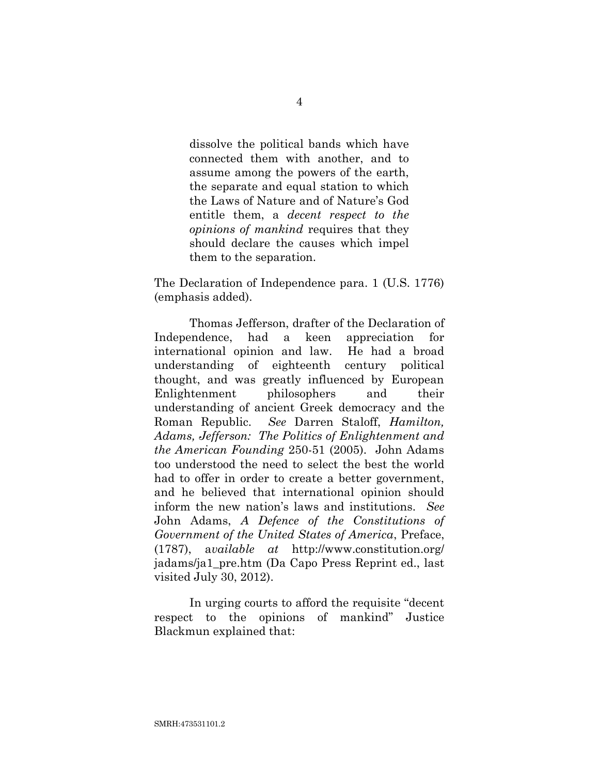dissolve the political bands which have connected them with another, and to assume among the powers of the earth, the separate and equal station to which the Laws of Nature and of Nature's God entitle them, a *decent respect to the opinions of mankind* requires that they should declare the causes which impel them to the separation.

<span id="page-16-0"></span>The Declaration of Independence para. 1 (U.S. 1776) (emphasis added).

<span id="page-16-1"></span>Thomas Jefferson, drafter of the Declaration of Independence, had a keen appreciation for international opinion and law. He had a broad understanding of eighteenth century political thought, and was greatly influenced by European Enlightenment philosophers and their understanding of ancient Greek democracy and the Roman Republic. *See* Darren Staloff, *Hamilton, Adams, Jefferson: The Politics of Enlightenment and the American Founding* 250-51 (2005). John Adams too understood the need to select the best the world had to offer in order to create a better government, and he believed that international opinion should inform the new nation's laws and institutions. *See* John Adams, *A Defence of the Constitutions of Government of the United States of America*, Preface, (1787), a*vailable at* http://www.constitution.org/ jadams/ja1\_pre.htm (Da Capo Press Reprint ed., last visited July 30, 2012).

<span id="page-16-2"></span>In urging courts to afford the requisite "decent respect to the opinions of mankind" Justice Blackmun explained that: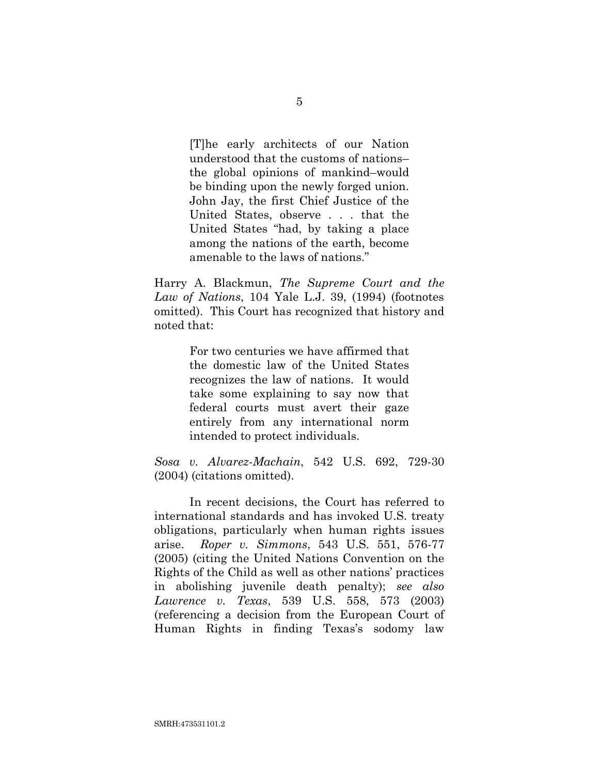[T]he early architects of our Nation understood that the customs of nations– the global opinions of mankind–would be binding upon the newly forged union. John Jay, the first Chief Justice of the United States, observe . . . that the United States "had, by taking a place among the nations of the earth, become amenable to the laws of nations."

<span id="page-17-3"></span>Harry A. Blackmun, *The Supreme Court and the Law of Nations*, 104 Yale L.J. 39, (1994) (footnotes omitted). This Court has recognized that history and noted that:

> For two centuries we have affirmed that the domestic law of the United States recognizes the law of nations. It would take some explaining to say now that federal courts must avert their gaze entirely from any international norm intended to protect individuals.

<span id="page-17-2"></span>*Sosa v. Alvarez-Machain*, 542 U.S. 692, 729-30 (2004) (citations omitted).

<span id="page-17-1"></span><span id="page-17-0"></span>In recent decisions, the Court has referred to international standards and has invoked U.S. treaty obligations, particularly when human rights issues arise. *Roper v. Simmons*, 543 U.S. 551, 576-77 (2005) (citing the United Nations Convention on the Rights of the Child as well as other nations' practices in abolishing juvenile death penalty); *see also Lawrence v. Texas*, 539 U.S. 558, 573 (2003) (referencing a decision from the European Court of Human Rights in finding Texas's sodomy law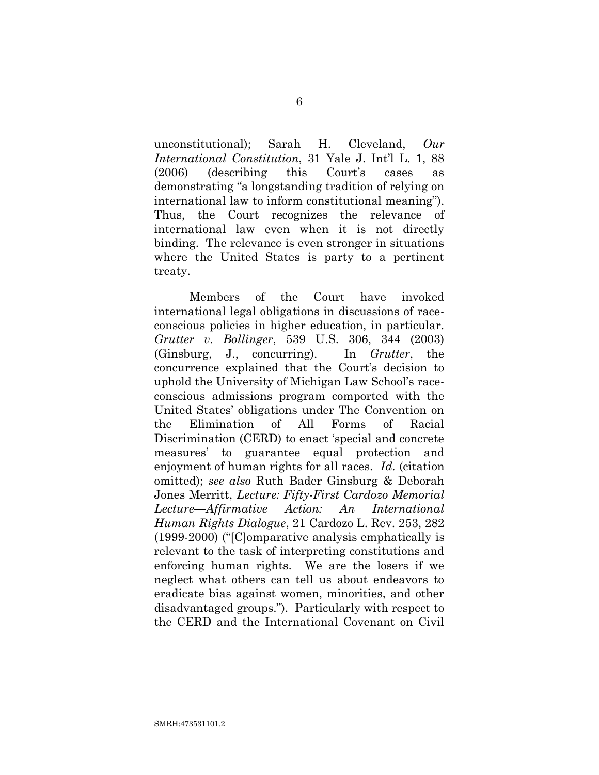<span id="page-18-2"></span>unconstitutional); Sarah H. Cleveland, *Our International Constitution*, 31 Yale J. Int'l L. 1, 88 (2006) (describing this Court's cases as demonstrating "a longstanding tradition of relying on international law to inform constitutional meaning"). Thus, the Court recognizes the relevance of international law even when it is not directly binding. The relevance is even stronger in situations where the United States is party to a pertinent treaty.

<span id="page-18-1"></span><span id="page-18-0"></span>Members of the Court have invoked international legal obligations in discussions of raceconscious policies in higher education, in particular. *Grutter v. Bollinger*, 539 U.S. 306, 344 (2003) (Ginsburg, J., concurring). In *Grutter*, the concurrence explained that the Court's decision to uphold the University of Michigan Law School's raceconscious admissions program comported with the United States' obligations under The Convention on the Elimination of All Forms of Racial Discrimination (CERD) to enact 'special and concrete measures' to guarantee equal protection and enjoyment of human rights for all races. *Id.* (citation omitted); *see also* Ruth Bader Ginsburg & Deborah Jones Merritt, *Lecture: Fifty-First Cardozo Memorial Lecture—Affirmative Action: An International Human Rights Dialogue*, 21 Cardozo L. Rev. 253, 282 (1999-2000) ("[C]omparative analysis emphatically is relevant to the task of interpreting constitutions and enforcing human rights. We are the losers if we neglect what others can tell us about endeavors to eradicate bias against women, minorities, and other disadvantaged groups."). Particularly with respect to the CERD and the International Covenant on Civil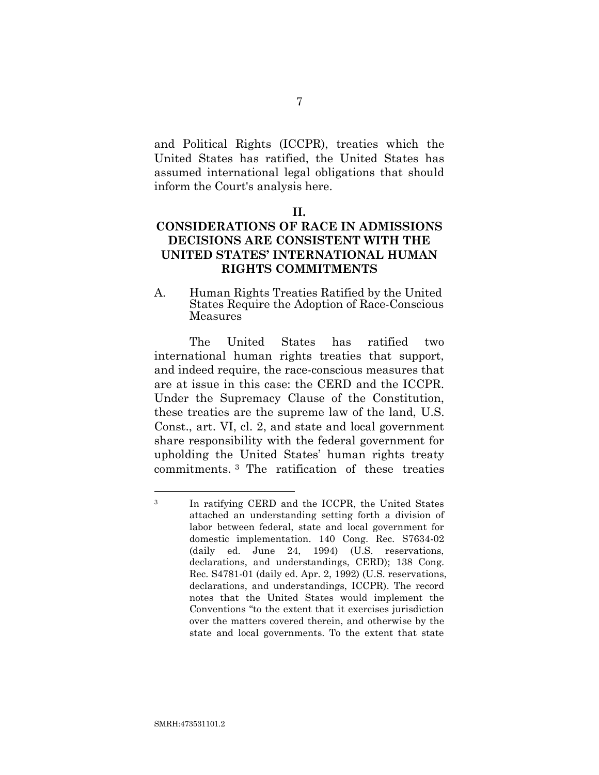and Political Rights (ICCPR), treaties which the United States has ratified, the United States has assumed international legal obligations that should inform the Court's analysis here.

## **CONSIDERATIONS OF RACE IN ADMISSIONS DECISIONS ARE CONSISTENT WITH THE UNITED STATES' INTERNATIONAL HUMAN RIGHTS COMMITMENTS**

A. Human Rights Treaties Ratified by the United States Require the Adoption of Race-Conscious Measures

The United States has ratified two international human rights treaties that support, and indeed require, the race-conscious measures that are at issue in this case: the CERD and the ICCPR. Under the Supremacy Clause of the Constitution, these treaties are the supreme law of the land, U.S. Const., art. VI, cl. 2, and state and local government share responsibility with the federal government for upholding the United States' human rights treaty commitments. <sup>3</sup> The ratification of these treaties

**II.**

<span id="page-19-1"></span><span id="page-19-0"></span><sup>3</sup> In ratifying CERD and the ICCPR, the United States attached an understanding setting forth a division of labor between federal, state and local government for domestic implementation. 140 Cong. Rec. S7634-02 (daily ed. June 24, 1994) (U.S. reservations, declarations, and understandings, CERD); 138 Cong. Rec. S4781-01 (daily ed. Apr. 2, 1992) (U.S. reservations, declarations, and understandings, ICCPR). The record notes that the United States would implement the Conventions "to the extent that it exercises jurisdiction over the matters covered therein, and otherwise by the state and local governments. To the extent that state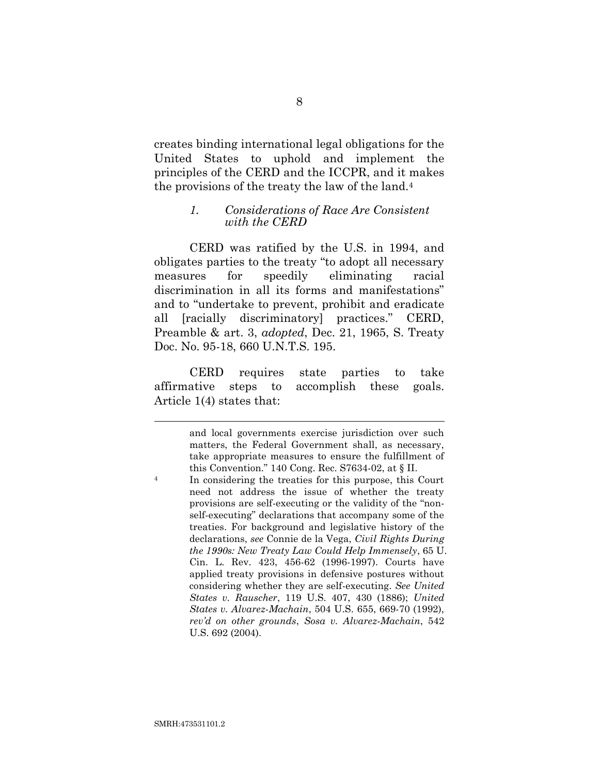creates binding international legal obligations for the United States to uphold and implement the principles of the CERD and the ICCPR, and it makes the provisions of the treaty the law of the land.<sup>4</sup>

### <span id="page-20-3"></span>*1. Considerations of Race Are Consistent with the CERD*

CERD was ratified by the U.S. in 1994, and obligates parties to the treaty "to adopt all necessary measures for speedily eliminating racial discrimination in all its forms and manifestations" and to "undertake to prevent, prohibit and eradicate all [racially discriminatory] practices." CERD, Preamble & art. 3, *adopted*, Dec. 21, 1965, S. Treaty Doc. No. 95-18, 660 U.N.T.S. 195.

CERD requires state parties to take affirmative steps to accomplish these goals. Article 1(4) states that:

<span id="page-20-2"></span><span id="page-20-1"></span><span id="page-20-0"></span>and local governments exercise jurisdiction over such matters, the Federal Government shall, as necessary, take appropriate measures to ensure the fulfillment of this Convention." 140 Cong. Rec. S7634-02, at § II.

<span id="page-20-4"></span><sup>4</sup> In considering the treaties for this purpose, this Court need not address the issue of whether the treaty provisions are self-executing or the validity of the "nonself-executing" declarations that accompany some of the treaties. For background and legislative history of the declarations, *see* Connie de la Vega, *Civil Rights During the 1990s: New Treaty Law Could Help Immensely*, 65 U. Cin. L. Rev. 423, 456-62 (1996-1997). Courts have applied treaty provisions in defensive postures without considering whether they are self-executing. *See United States v. Rauscher*, 119 U.S. 407, 430 (1886); *United States v. Alvarez-Machain*, 504 U.S. 655, 669-70 (1992), *rev'd on other grounds*, *Sosa v. Alvarez-Machain*, 542 U.S. 692 (2004).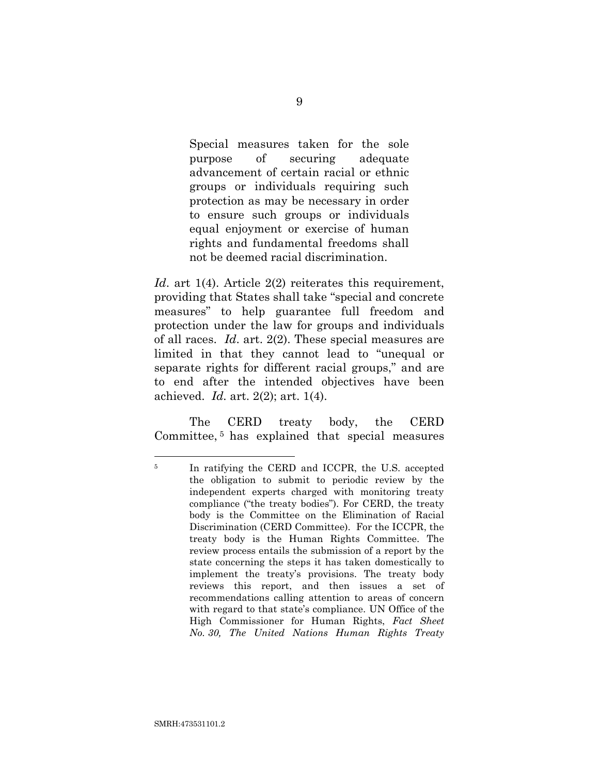Special measures taken for the sole purpose of securing adequate advancement of certain racial or ethnic groups or individuals requiring such protection as may be necessary in order to ensure such groups or individuals equal enjoyment or exercise of human rights and fundamental freedoms shall not be deemed racial discrimination.

<span id="page-21-0"></span>*Id.* art 1(4). Article 2(2) reiterates this requirement, providing that States shall take "special and concrete measures" to help guarantee full freedom and protection under the law for groups and individuals of all races. *Id*. art. 2(2). These special measures are limited in that they cannot lead to "unequal or separate rights for different racial groups," and are to end after the intended objectives have been achieved. *Id.* art. 2(2); art. 1(4).

The CERD treaty body, the CERD Committee, <sup>5</sup> has explained that special measures

<span id="page-21-1"></span> <sup>5</sup> In ratifying the CERD and ICCPR, the U.S. accepted the obligation to submit to periodic review by the independent experts charged with monitoring treaty compliance ("the treaty bodies"). For CERD, the treaty body is the Committee on the Elimination of Racial Discrimination (CERD Committee). For the ICCPR, the treaty body is the Human Rights Committee. The review process entails the submission of a report by the state concerning the steps it has taken domestically to implement the treaty's provisions. The treaty body reviews this report, and then issues a set of recommendations calling attention to areas of concern with regard to that state's compliance. UN Office of the High Commissioner for Human Rights, *Fact Sheet No. 30, The United Nations Human Rights Treaty*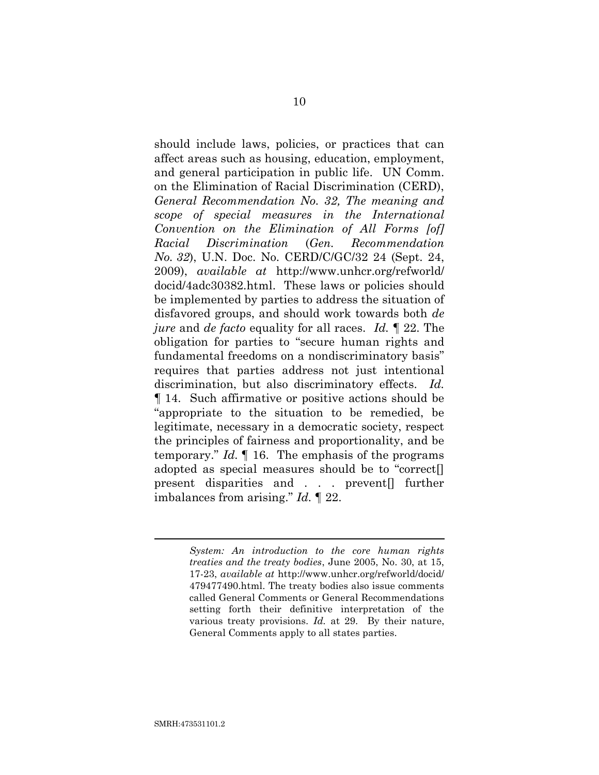<span id="page-22-0"></span>should include laws, policies, or practices that can affect areas such as housing, education, employment, and general participation in public life. UN Comm. on the Elimination of Racial Discrimination (CERD), *General Recommendation No. 32, The meaning and scope of special measures in the International Convention on the Elimination of All Forms [of] Racial Discrimination* (*Gen. Recommendation No. 32*), U.N. Doc. No. CERD/C/GC/32 24 (Sept. 24, 2009), *available at* http://www.unhcr.org/refworld/ docid/4adc30382.html. These laws or policies should be implemented by parties to address the situation of disfavored groups, and should work towards both *de jure* and *de facto* equality for all races. *Id.* ¶ 22. The obligation for parties to "secure human rights and fundamental freedoms on a nondiscriminatory basis" requires that parties address not just intentional discrimination, but also discriminatory effects. *Id.* ¶ 14. Such affirmative or positive actions should be "appropriate to the situation to be remedied, be legitimate, necessary in a democratic society, respect the principles of fairness and proportionality, and be temporary." *Id.* ¶ 16. The emphasis of the programs adopted as special measures should be to "correct[] present disparities and . . . prevent[] further imbalances from arising." *Id.* ¶ 22.

> <span id="page-22-1"></span>*System: An introduction to the core human rights treaties and the treaty bodies*, June 2005, No. 30, at 15, 17-23, *available at* http://www.unhcr.org/refworld/docid/ 479477490.html. The treaty bodies also issue comments called General Comments or General Recommendations setting forth their definitive interpretation of the various treaty provisions. *Id.* at 29. By their nature, General Comments apply to all states parties.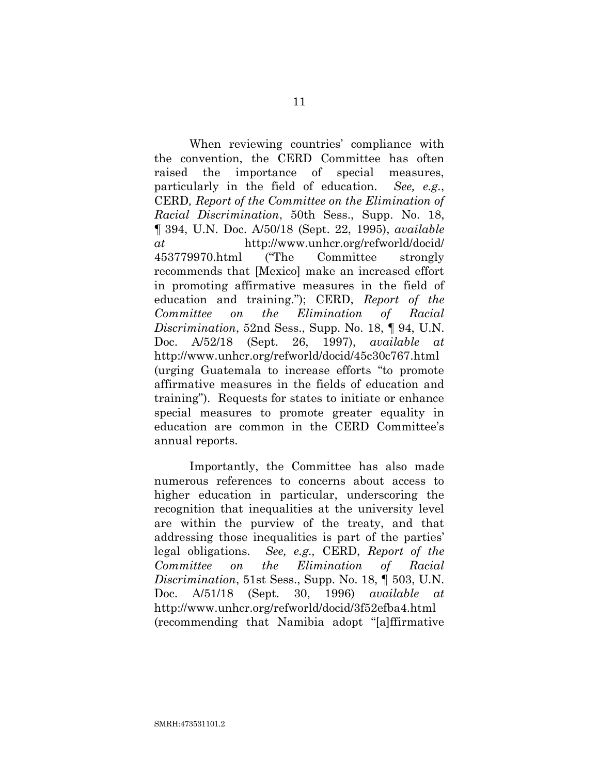<span id="page-23-2"></span><span id="page-23-0"></span>When reviewing countries' compliance with the convention, the CERD Committee has often raised the importance of special measures, particularly in the field of education. *See, e.g.*, CERD*, Report of the Committee on the Elimination of Racial Discrimination*, 50th Sess., Supp. No. 18, ¶ 394, U.N. Doc. A/50/18 (Sept. 22, 1995), *available at* http://www.unhcr.org/refworld/docid/ 453779970.html ("The Committee strongly recommends that [Mexico] make an increased effort in promoting affirmative measures in the field of education and training."); CERD, *Report of the Committee on the Elimination of Racial Discrimination*, 52nd Sess., Supp. No. 18, ¶ 94, U.N. Doc. A/52/18 (Sept. 26, 1997), *available at* http://www.unhcr.org/refworld/docid/45c30c767.html (urging Guatemala to increase efforts "to promote affirmative measures in the fields of education and training"). Requests for states to initiate or enhance special measures to promote greater equality in education are common in the CERD Committee's annual reports.

<span id="page-23-1"></span>Importantly, the Committee has also made numerous references to concerns about access to higher education in particular, underscoring the recognition that inequalities at the university level are within the purview of the treaty, and that addressing those inequalities is part of the parties' legal obligations. *See, e.g.,* CERD, *Report of the Committee on the Elimination of Racial Discrimination*, 51st Sess., Supp. No. 18, ¶ 503, U.N. Doc. A/51/18 (Sept. 30, 1996) *available at* http://www.unhcr.org/refworld/docid/3f52efba4.html (recommending that Namibia adopt "[a]ffirmative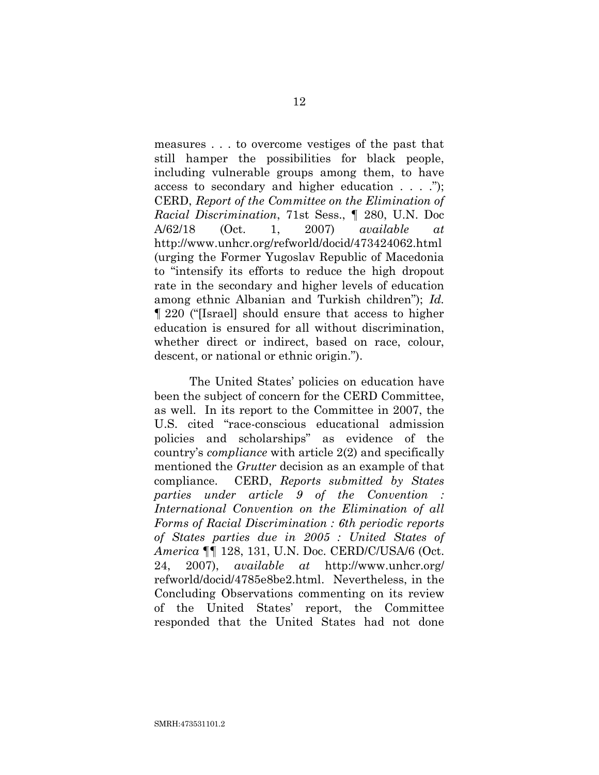<span id="page-24-0"></span>measures . . . to overcome vestiges of the past that still hamper the possibilities for black people, including vulnerable groups among them, to have access to secondary and higher education . . . ."); CERD, *Report of the Committee on the Elimination of Racial Discrimination*, 71st Sess., ¶ 280, U.N. Doc A/62/18 (Oct. 1, 2007) *available at* http://www.unhcr.org/refworld/docid/473424062.html (urging the Former Yugoslav Republic of Macedonia to "intensify its efforts to reduce the high dropout rate in the secondary and higher levels of education among ethnic Albanian and Turkish children"); *Id.* ¶ 220 ("[Israel] should ensure that access to higher education is ensured for all without discrimination, whether direct or indirect, based on race, colour, descent, or national or ethnic origin.").

<span id="page-24-1"></span>The United States' policies on education have been the subject of concern for the CERD Committee, as well. In its report to the Committee in 2007, the U.S. cited "race-conscious educational admission policies and scholarships" as evidence of the country's *compliance* with article 2(2) and specifically mentioned the *Grutter* decision as an example of that compliance. CERD, *Reports submitted by States parties under article 9 of the Convention : International Convention on the Elimination of all Forms of Racial Discrimination : 6th periodic reports of States parties due in 2005 : United States of America* ¶¶ 128, 131, U.N. Doc. CERD/C/USA/6 (Oct. 24, 2007), *available at* http://www.unhcr.org/ refworld/docid/4785e8be2.html. Nevertheless, in the Concluding Observations commenting on its review of the United States' report, the Committee responded that the United States had not done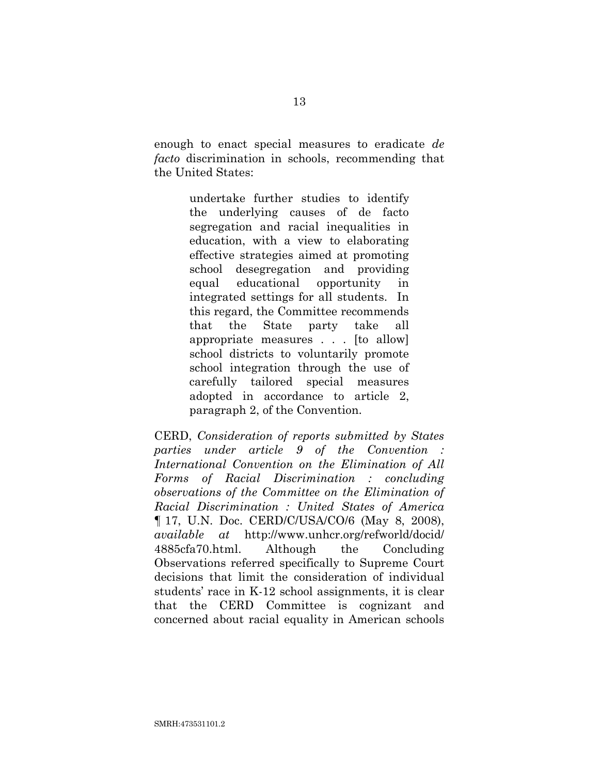enough to enact special measures to eradicate *de facto* discrimination in schools, recommending that the United States:

> undertake further studies to identify the underlying causes of de facto segregation and racial inequalities in education, with a view to elaborating effective strategies aimed at promoting school desegregation and providing equal educational opportunity in integrated settings for all students. In this regard, the Committee recommends that the State party take all appropriate measures . . . [to allow] school districts to voluntarily promote school integration through the use of carefully tailored special measures adopted in accordance to article 2, paragraph 2, of the Convention.

<span id="page-25-0"></span>CERD, *Consideration of reports submitted by States parties under article 9 of the Convention : International Convention on the Elimination of All Forms of Racial Discrimination : concluding observations of the Committee on the Elimination of Racial Discrimination : United States of America* ¶ 17, U.N. Doc. CERD/C/USA/CO/6 (May 8, 2008), *available at* http://www.unhcr.org/refworld/docid/ 4885cfa70.html. Although the Concluding Observations referred specifically to Supreme Court decisions that limit the consideration of individual students' race in K-12 school assignments, it is clear that the CERD Committee is cognizant and concerned about racial equality in American schools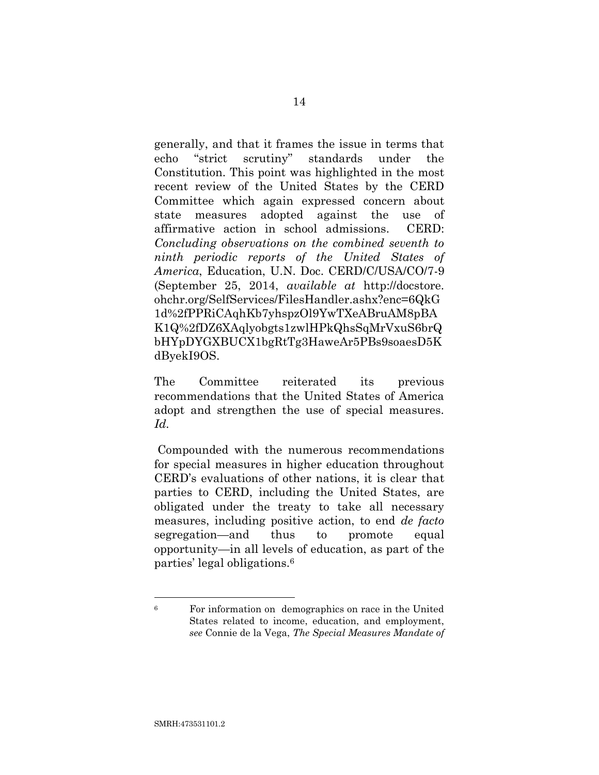<span id="page-26-0"></span>generally, and that it frames the issue in terms that echo "strict scrutiny" standards under the Constitution. This point was highlighted in the most recent review of the United States by the CERD Committee which again expressed concern about state measures adopted against the use of affirmative action in school admissions. CERD: *Concluding observations on the combined seventh to ninth periodic reports of the United States of America*, Education, U.N. Doc. CERD/C/USA/CO/7-9 (September 25, 2014, *available at* http://docstore. ohchr.org/SelfServices/FilesHandler.ashx?enc=6QkG 1d%2fPPRiCAqhKb7yhspzOl9YwTXeABruAM8pBA K1Q%2fDZ6XAqlyobgts1zwlHPkQhsSqMrVxuS6brQ bHYpDYGXBUCX1bgRtTg3HaweAr5PBs9soaesD5K dByekI9OS.

The Committee reiterated its previous recommendations that the United States of America adopt and strengthen the use of special measures. *Id.*

Compounded with the numerous recommendations for special measures in higher education throughout CERD's evaluations of other nations, it is clear that parties to CERD, including the United States, are obligated under the treaty to take all necessary measures, including positive action, to end *de facto* segregation—and thus to promote equal opportunity—in all levels of education, as part of the parties' legal obligations.<sup>6</sup>

<span id="page-26-1"></span><sup>6</sup> For information on demographics on race in the United States related to income, education, and employment, *see* Connie de la Vega, *The Special Measures Mandate of*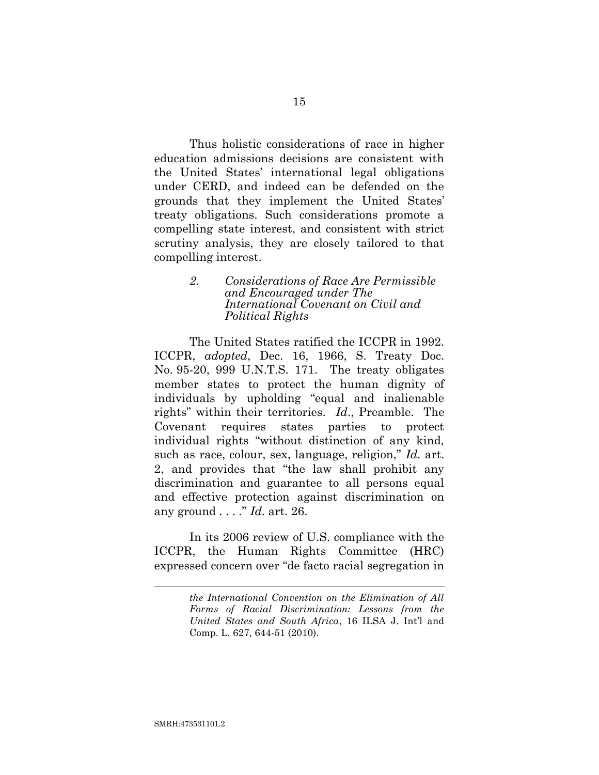Thus holistic considerations of race in higher education admissions decisions are consistent with the United States' international legal obligations under CERD, and indeed can be defended on the grounds that they implement the United States' treaty obligations. Such considerations promote a compelling state interest, and consistent with strict scrutiny analysis, they are closely tailored to that compelling interest.

### *2. Considerations of Race Are Permissible and Encouraged under The International Covenant on Civil and Political Rights*

<span id="page-27-0"></span>The United States ratified the ICCPR in 1992. ICCPR, *adopted*, Dec. 16, 1966, S. Treaty Doc. No. 95-20, 999 U.N.T.S. 171. The treaty obligates member states to protect the human dignity of individuals by upholding "equal and inalienable rights" within their territories. *Id*., Preamble. The Covenant requires states parties to protect individual rights "without distinction of any kind, such as race, colour, sex, language, religion," *Id.* art. 2, and provides that "the law shall prohibit any discrimination and guarantee to all persons equal and effective protection against discrimination on any ground . . . ." *Id.* art. 26.

In its 2006 review of U.S. compliance with the ICCPR, the Human Rights Committee (HRC) expressed concern over "de facto racial segregation in

*the International Convention on the Elimination of All Forms of Racial Discrimination: Lessons from the United States and South Africa*, 16 ILSA J. Int'l and Comp. L. 627, 644-51 (2010).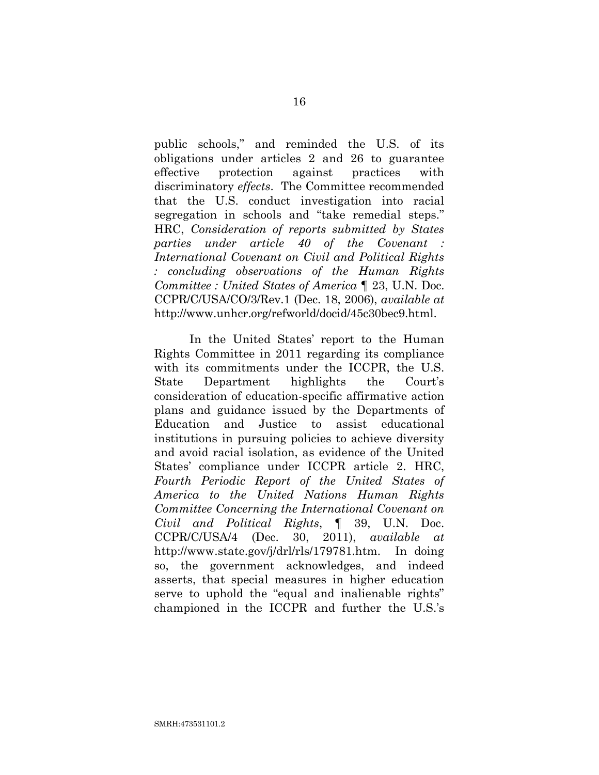<span id="page-28-0"></span>public schools," and reminded the U.S. of its obligations under articles 2 and 26 to guarantee effective protection against practices with discriminatory *effects*. The Committee recommended that the U.S. conduct investigation into racial segregation in schools and "take remedial steps." HRC, *Consideration of reports submitted by States parties under article 40 of the Covenant : International Covenant on Civil and Political Rights : concluding observations of the Human Rights Committee : United States of America* ¶ 23, U.N. Doc. CCPR/C/USA/CO/3/Rev.1 (Dec. 18, 2006), *available at*  http://www.unhcr.org/refworld/docid/45c30bec9.html.

<span id="page-28-1"></span>In the United States' report to the Human Rights Committee in 2011 regarding its compliance with its commitments under the ICCPR, the U.S. State Department highlights the Court's consideration of education-specific affirmative action plans and guidance issued by the Departments of Education and Justice to assist educational institutions in pursuing policies to achieve diversity and avoid racial isolation, as evidence of the United States' compliance under ICCPR article 2. HRC, *Fourth Periodic Report of the United States of America to the United Nations Human Rights Committee Concerning the International Covenant on Civil and Political Rights*, ¶ 39, U.N. Doc. CCPR/C/USA/4 (Dec. 30, 2011), *available at* http://www.state.gov/j/drl/rls/179781.htm. In doing so, the government acknowledges, and indeed asserts, that special measures in higher education serve to uphold the "equal and inalienable rights" championed in the ICCPR and further the U.S.'s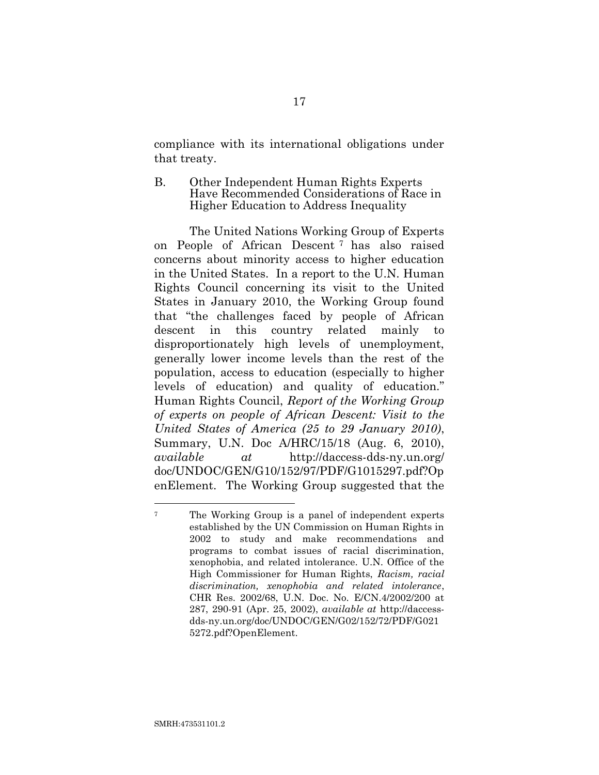compliance with its international obligations under that treaty.

B. Other Independent Human Rights Experts Have Recommended Considerations of Race in Higher Education to Address Inequality

The United Nations Working Group of Experts on People of African Descent <sup>7</sup> has also raised concerns about minority access to higher education in the United States. In a report to the U.N. Human Rights Council concerning its visit to the United States in January 2010, the Working Group found that "the challenges faced by people of African descent in this country related mainly to disproportionately high levels of unemployment, generally lower income levels than the rest of the population, access to education (especially to higher levels of education) and quality of education." Human Rights Council, *Report of the Working Group of experts on people of African Descent: Visit to the United States of America (25 to 29 January 2010)*, Summary, U.N. Doc A/HRC/15/18 (Aug. 6, 2010), *available at* http://daccess-dds-ny.un.org/ doc/UNDOC/GEN/G10/152/97/PDF/G1015297.pdf?Op enElement. The Working Group suggested that the

<span id="page-29-1"></span><span id="page-29-0"></span><sup>7</sup> The Working Group is a panel of independent experts established by the UN Commission on Human Rights in 2002 to study and make recommendations and programs to combat issues of racial discrimination, xenophobia, and related intolerance. U.N. Office of the High Commissioner for Human Rights, *Racism, racial discrimination, xenophobia and related intolerance*, CHR Res. 2002/68, U.N. Doc. No. E/CN.4/2002/200 at 287, 290-91 (Apr. 25, 2002), *available at* http://daccessdds-ny.un.org/doc/UNDOC/GEN/G02/152/72/PDF/G021 5272.pdf?OpenElement.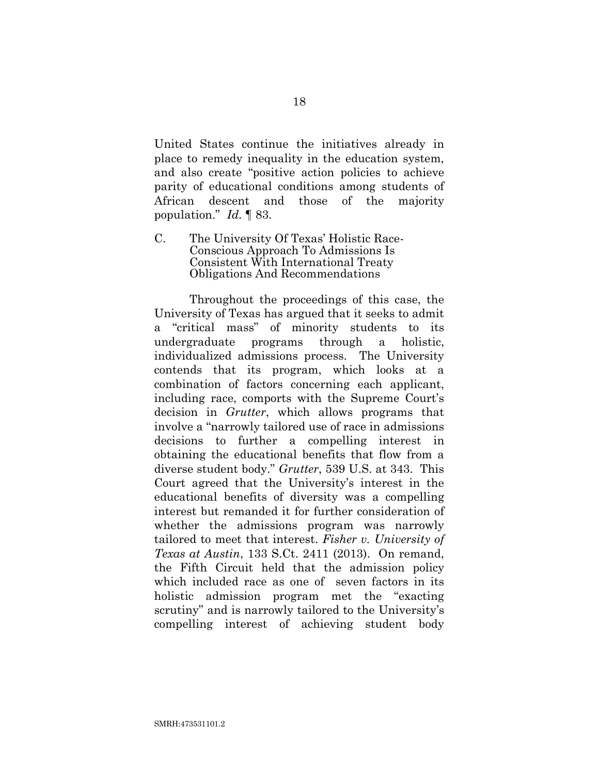United States continue the initiatives already in place to remedy inequality in the education system, and also create "positive action policies to achieve parity of educational conditions among students of African descent and those of the majority population." *Id*. ¶ 83.

<span id="page-30-2"></span>C. The University Of Texas' Holistic Race-Conscious Approach To Admissions Is Consistent With International Treaty Obligations And Recommendations

<span id="page-30-1"></span><span id="page-30-0"></span>Throughout the proceedings of this case, the University of Texas has argued that it seeks to admit a "critical mass" of minority students to its undergraduate programs through a holistic, individualized admissions process. The University contends that its program, which looks at a combination of factors concerning each applicant, including race, comports with the Supreme Court's decision in *Grutter*, which allows programs that involve a "narrowly tailored use of race in admissions decisions to further a compelling interest in obtaining the educational benefits that flow from a diverse student body." *Grutter*, 539 U.S. at 343. This Court agreed that the University's interest in the educational benefits of diversity was a compelling interest but remanded it for further consideration of whether the admissions program was narrowly tailored to meet that interest. *Fisher v. University of Texas at Austin*, 133 S.Ct. 2411 (2013). On remand, the Fifth Circuit held that the admission policy which included race as one of seven factors in its holistic admission program met the "exacting scrutiny" and is narrowly tailored to the University's compelling interest of achieving student body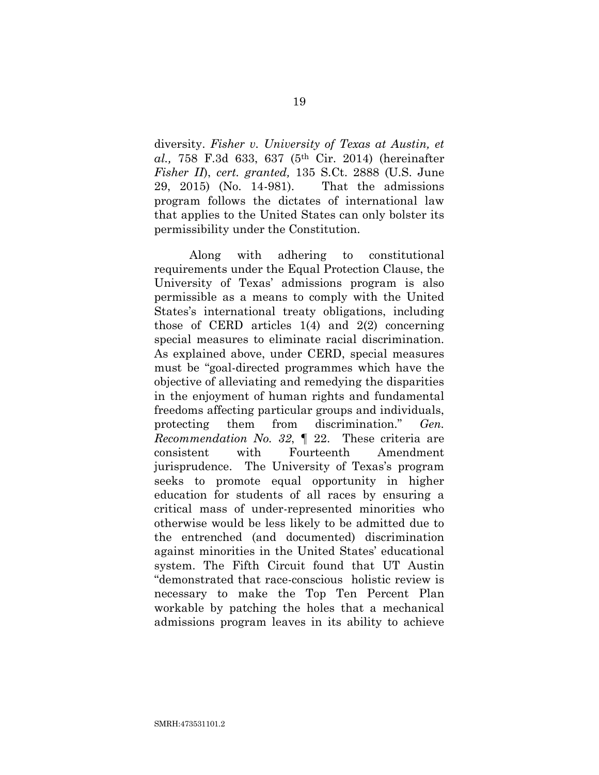<span id="page-31-0"></span>diversity. *Fisher v. University of Texas at Austin, et al.,* 758 F.3d 633, 637 (5th Cir. 2014) (hereinafter *Fisher II*), *cert. granted,* 135 S.Ct. 2888 (U.S. June 29, 2015) (No. 14-981). That the admissions program follows the dictates of international law that applies to the United States can only bolster its permissibility under the Constitution.

Along with adhering to constitutional requirements under the Equal Protection Clause, the University of Texas' admissions program is also permissible as a means to comply with the United States's international treaty obligations, including those of CERD articles 1(4) and 2(2) concerning special measures to eliminate racial discrimination. As explained above, under CERD, special measures must be "goal-directed programmes which have the objective of alleviating and remedying the disparities in the enjoyment of human rights and fundamental freedoms affecting particular groups and individuals, protecting them from discrimination." *Gen. Recommendation No. 32*, ¶ 22. These criteria are consistent with Fourteenth Amendment jurisprudence. The University of Texas's program seeks to promote equal opportunity in higher education for students of all races by ensuring a critical mass of under-represented minorities who otherwise would be less likely to be admitted due to the entrenched (and documented) discrimination against minorities in the United States' educational system. The Fifth Circuit found that UT Austin "demonstrated that race-conscious holistic review is necessary to make the Top Ten Percent Plan workable by patching the holes that a mechanical admissions program leaves in its ability to achieve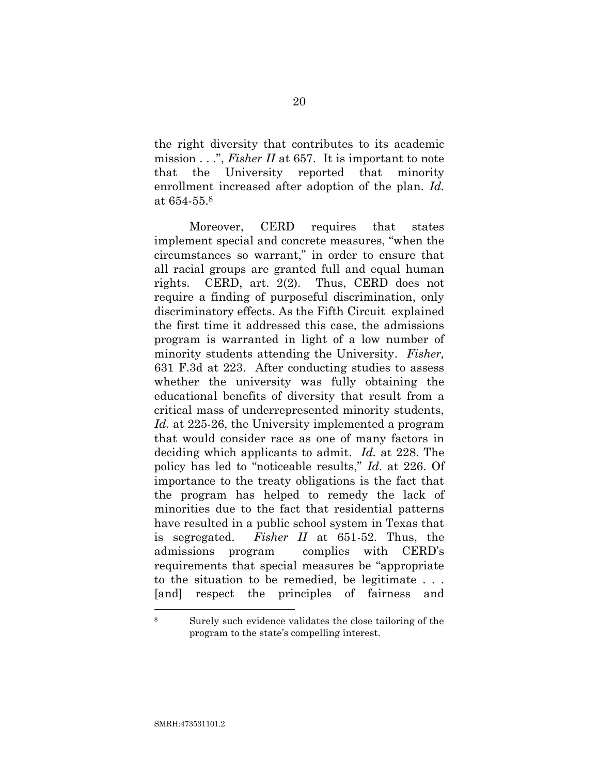<span id="page-32-1"></span>the right diversity that contributes to its academic mission . . .", *Fisher II* at 657. It is important to note that the University reported that minority enrollment increased after adoption of the plan. *Id.*  at 654-55.<sup>8</sup>

<span id="page-32-0"></span>Moreover, CERD requires that states implement special and concrete measures, "when the circumstances so warrant," in order to ensure that all racial groups are granted full and equal human rights. CERD, art. 2(2). Thus, CERD does not require a finding of purposeful discrimination, only discriminatory effects. As the Fifth Circuit explained the first time it addressed this case, the admissions program is warranted in light of a low number of minority students attending the University. *Fisher,*  631 F.3d at 223. After conducting studies to assess whether the university was fully obtaining the educational benefits of diversity that result from a critical mass of underrepresented minority students, *Id.* at 225-26, the University implemented a program that would consider race as one of many factors in deciding which applicants to admit. *Id.* at 228. The policy has led to "noticeable results," *Id*. at 226. Of importance to the treaty obligations is the fact that the program has helped to remedy the lack of minorities due to the fact that residential patterns have resulted in a public school system in Texas that is segregated. *Fisher II* at 651-52. Thus, the admissions program complies with CERD's requirements that special measures be "appropriate to the situation to be remedied, be legitimate . . . [and] respect the principles of fairness and

<sup>8</sup> Surely such evidence validates the close tailoring of the program to the state's compelling interest.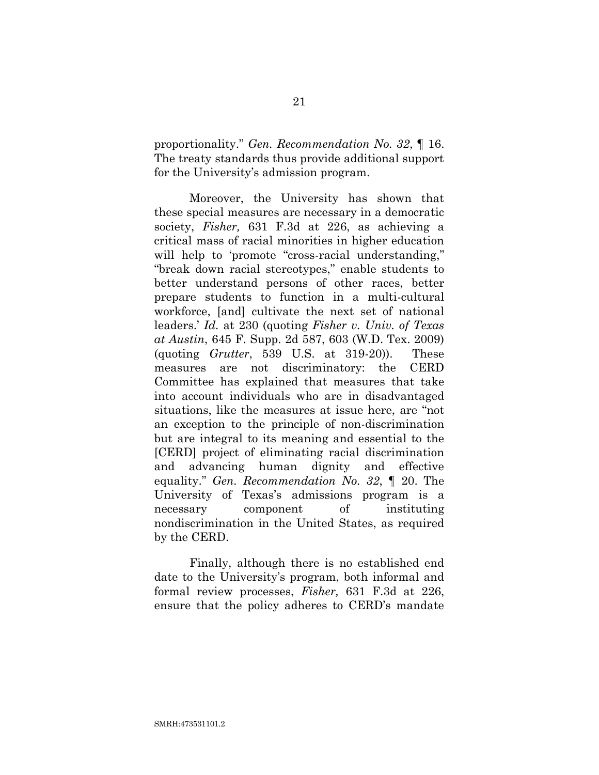proportionality." *Gen. Recommendation No. 32*, ¶ 16. The treaty standards thus provide additional support for the University's admission program.

<span id="page-33-0"></span>Moreover, the University has shown that these special measures are necessary in a democratic society, *Fisher,* 631 F.3d at 226, as achieving a critical mass of racial minorities in higher education will help to 'promote "cross-racial understanding," "break down racial stereotypes," enable students to better understand persons of other races, better prepare students to function in a multi-cultural workforce, [and] cultivate the next set of national leaders.' *Id.* at 230 (quoting *Fisher v. Univ. of Texas at Austin*, 645 F. Supp. 2d 587, 603 (W.D. Tex. 2009) (quoting *Grutter*, 539 U.S. at 319-20)). These measures are not discriminatory: the CERD Committee has explained that measures that take into account individuals who are in disadvantaged situations, like the measures at issue here, are "not an exception to the principle of non-discrimination but are integral to its meaning and essential to the [CERD] project of eliminating racial discrimination and advancing human dignity and effective equality." *Gen. Recommendation No. 32*, ¶ 20. The University of Texas's admissions program is a necessary component of instituting nondiscrimination in the United States, as required by the CERD.

Finally, although there is no established end date to the University's program, both informal and formal review processes, *Fisher,* 631 F.3d at 226, ensure that the policy adheres to CERD's mandate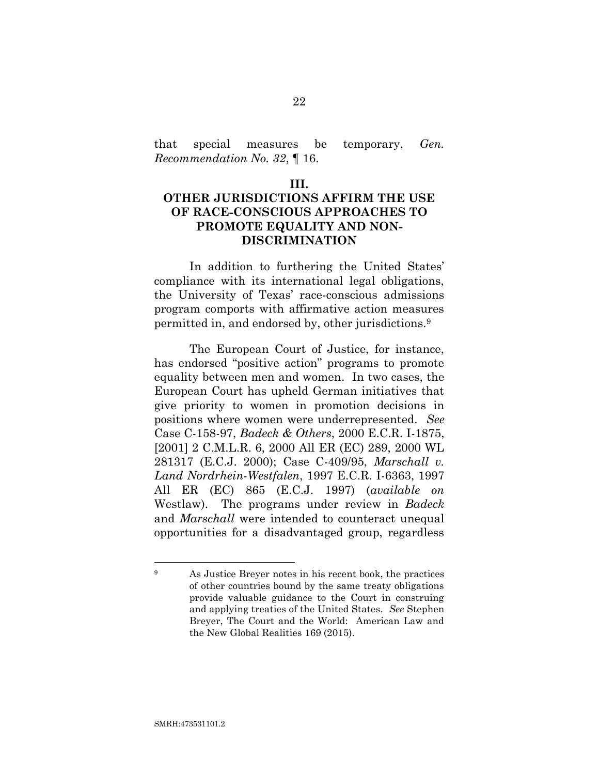that special measures be temporary, *Gen. Recommendation No. 32*, ¶ 16.

#### **III.**

## **OTHER JURISDICTIONS AFFIRM THE USE OF RACE-CONSCIOUS APPROACHES TO PROMOTE EQUALITY AND NON-DISCRIMINATION**

In addition to furthering the United States' compliance with its international legal obligations, the University of Texas' race-conscious admissions program comports with affirmative action measures permitted in, and endorsed by, other jurisdictions.<sup>9</sup>

<span id="page-34-1"></span><span id="page-34-0"></span>The European Court of Justice, for instance, has endorsed "positive action" programs to promote equality between men and women. In two cases, the European Court has upheld German initiatives that give priority to women in promotion decisions in positions where women were underrepresented. *See* Case C-158-97, *Badeck & Others*, 2000 E.C.R. I-1875, [2001] 2 C.M.L.R. 6, 2000 All ER (EC) 289, 2000 WL 281317 (E.C.J. 2000); Case C-409/95, *Marschall v. Land Nordrhein-Westfalen*, 1997 E.C.R. I-6363, 1997 All ER (EC) 865 (E.C.J. 1997) (*available on* Westlaw). The programs under review in *Badeck*  and *Marschall* were intended to counteract unequal opportunities for a disadvantaged group, regardless

<sup>9</sup> As Justice Breyer notes in his recent book, the practices of other countries bound by the same treaty obligations provide valuable guidance to the Court in construing and applying treaties of the United States. *See* Stephen Breyer, The Court and the World: American Law and the New Global Realities 169 (2015).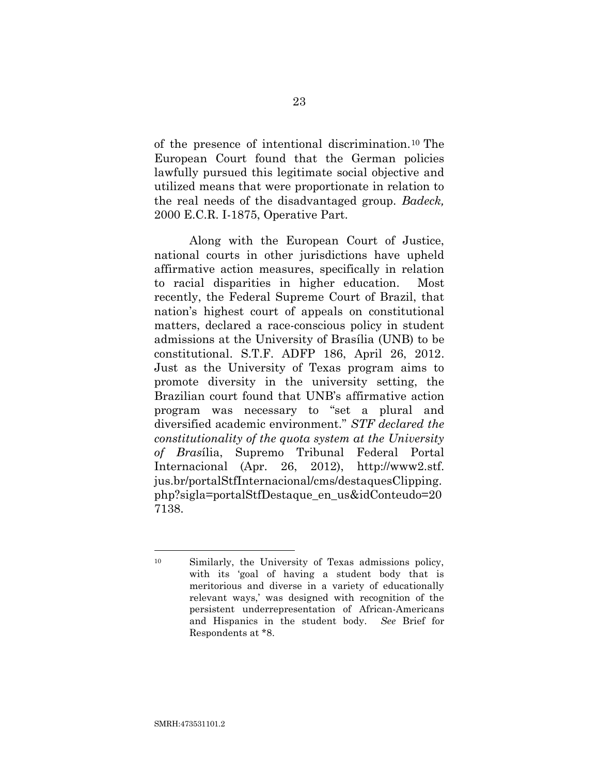of the presence of intentional discrimination.<sup>10</sup> The European Court found that the German policies lawfully pursued this legitimate social objective and utilized means that were proportionate in relation to the real needs of the disadvantaged group. *Badeck,*  2000 E.C.R. I-1875, Operative Part.

<span id="page-35-0"></span>Along with the European Court of Justice, national courts in other jurisdictions have upheld affirmative action measures, specifically in relation to racial disparities in higher education. Most recently, the Federal Supreme Court of Brazil, that nation's highest court of appeals on constitutional matters, declared a race-conscious policy in student admissions at the University of Brasília (UNB) to be constitutional. S.T.F. ADFP 186, April 26, 2012. Just as the University of Texas program aims to promote diversity in the university setting, the Brazilian court found that UNB's affirmative action program was necessary to "set a plural and diversified academic environment." *STF declared the constitutionality of the quota system at the University of Bras*ília, Supremo Tribunal Federal Portal Internacional (Apr. 26, 2012), http://www2.stf. jus.br/portalStfInternacional/cms/destaquesClipping. php?sigla=portalStfDestaque\_en\_us&idConteudo=20 7138.

<span id="page-35-1"></span><sup>10</sup> Similarly, the University of Texas admissions policy, with its 'goal of having a student body that is meritorious and diverse in a variety of educationally relevant ways,' was designed with recognition of the persistent underrepresentation of African-Americans and Hispanics in the student body. *See* Brief for Respondents at \*8.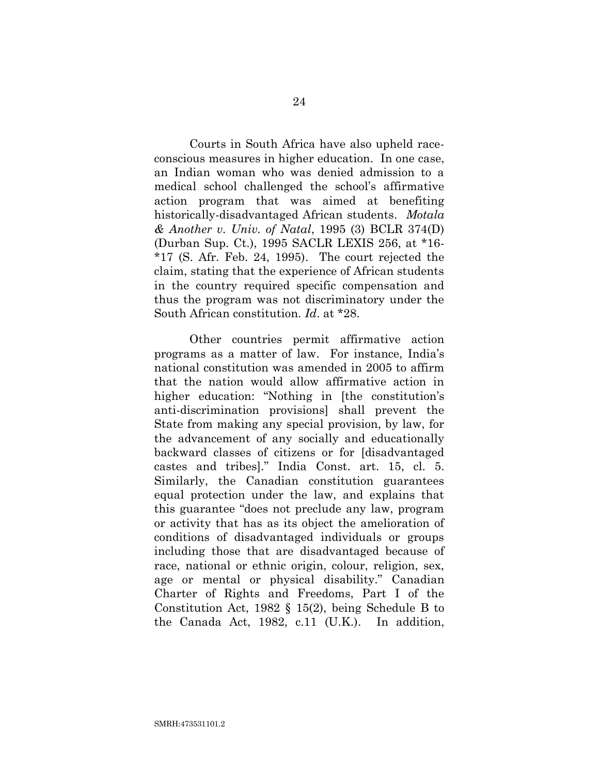<span id="page-36-2"></span>Courts in South Africa have also upheld raceconscious measures in higher education. In one case, an Indian woman who was denied admission to a medical school challenged the school's affirmative action program that was aimed at benefiting historically-disadvantaged African students. *Motala & Another v. Univ. of Natal*, 1995 (3) BCLR 374(D) (Durban Sup. Ct.), 1995 SACLR LEXIS 256, at \*16- \*17 (S. Afr. Feb. 24, 1995). The court rejected the claim, stating that the experience of African students in the country required specific compensation and thus the program was not discriminatory under the South African constitution. *Id*. at \*28.

<span id="page-36-1"></span><span id="page-36-0"></span>Other countries permit affirmative action programs as a matter of law. For instance, India's national constitution was amended in 2005 to affirm that the nation would allow affirmative action in higher education: "Nothing in [the constitution's anti-discrimination provisions] shall prevent the State from making any special provision, by law, for the advancement of any socially and educationally backward classes of citizens or for [disadvantaged castes and tribes]." India Const. art. 15, cl. 5. Similarly, the Canadian constitution guarantees equal protection under the law, and explains that this guarantee "does not preclude any law, program or activity that has as its object the amelioration of conditions of disadvantaged individuals or groups including those that are disadvantaged because of race, national or ethnic origin, colour, religion, sex, age or mental or physical disability." Canadian Charter of Rights and Freedoms, Part I of the Constitution Act, 1982 § 15(2), being Schedule B to the Canada Act, 1982, c.11 (U.K.). In addition,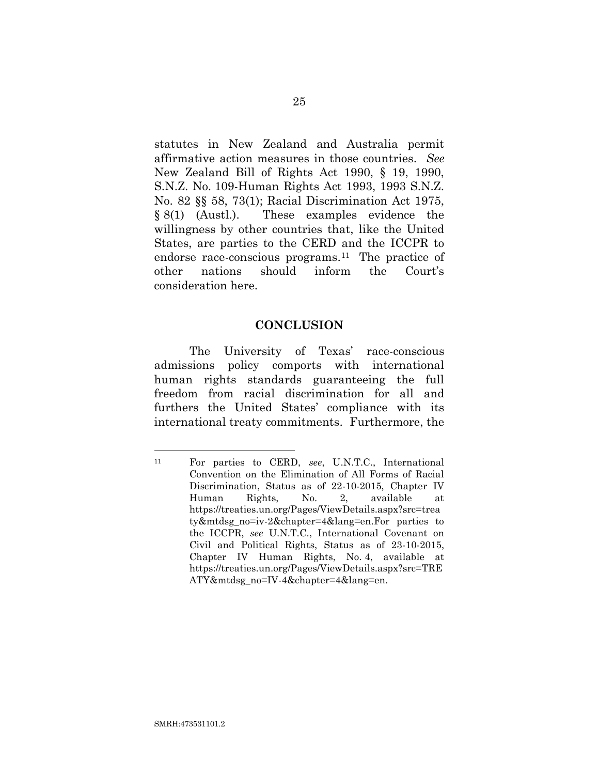<span id="page-37-0"></span>statutes in New Zealand and Australia permit affirmative action measures in those countries. *See* New Zealand Bill of Rights Act 1990, § 19, 1990, S.N.Z. No. 109-Human Rights Act 1993, 1993 S.N.Z. No. 82 §§ 58, 73(1); Racial Discrimination Act 1975, § 8(1) (Austl.). These examples evidence the willingness by other countries that, like the United States, are parties to the CERD and the ICCPR to endorse race-conscious programs. <sup>11</sup> The practice of other nations should inform the Court's consideration here.

### <span id="page-37-1"></span>**CONCLUSION**

The University of Texas' race-conscious admissions policy comports with international human rights standards guaranteeing the full freedom from racial discrimination for all and furthers the United States' compliance with its international treaty commitments. Furthermore, the

<span id="page-37-2"></span><sup>11</sup> For parties to CERD, *see*, U.N.T.C., International Convention on the Elimination of All Forms of Racial Discrimination, Status as of 22-10-2015, Chapter IV Human Rights, No. 2, available at https://treaties.un.org/Pages/ViewDetails.aspx?src=trea ty&mtdsg\_no=iv-2&chapter=4&lang=en.For parties to the ICCPR, *see* U.N.T.C., International Covenant on Civil and Political Rights, Status as of 23-10-2015, Chapter IV Human Rights, No. 4, available at https://treaties.un.org/Pages/ViewDetails.aspx?src=TRE ATY&mtdsg\_no=IV-4&chapter=4&lang=en.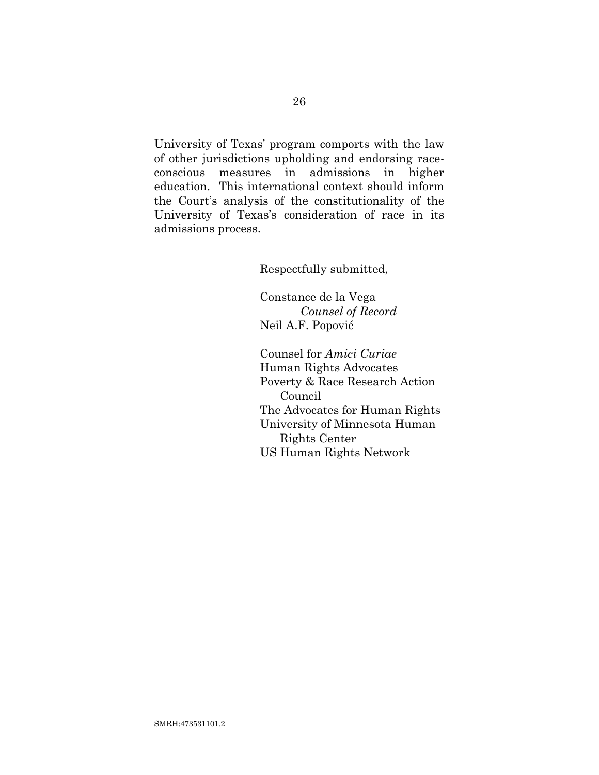University of Texas' program comports with the law of other jurisdictions upholding and endorsing raceconscious measures in admissions in higher education. This international context should inform the Court's analysis of the constitutionality of the University of Texas's consideration of race in its admissions process.

Respectfully submitted,

Constance de la Vega *Counsel of Record* Neil A.F. Popović

Counsel for *Amici Curiae* Human Rights Advocates Poverty & Race Research Action Council The Advocates for Human Rights University of Minnesota Human Rights Center US Human Rights Network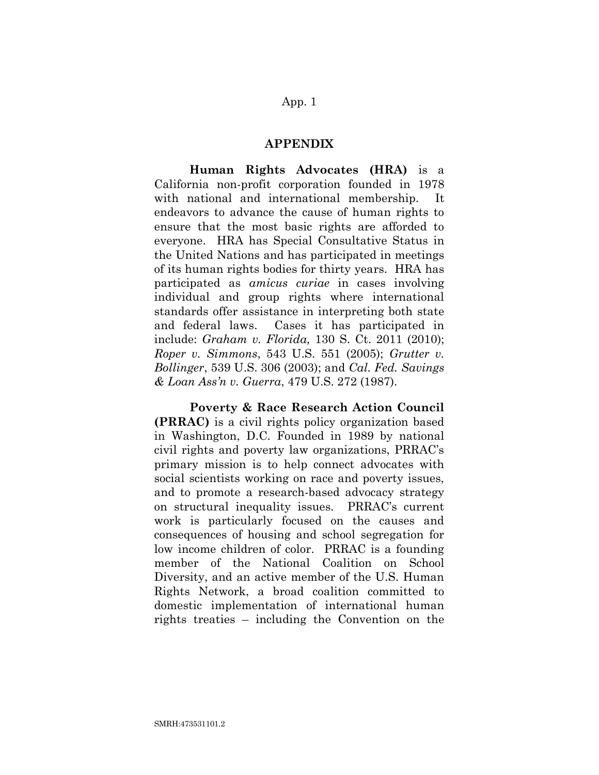## App. 1

### **APPENDIX**

**Human Rights Advocates (HRA)** is a California non-profit corporation founded in 1978 with national and international membership. It endeavors to advance the cause of human rights to ensure that the most basic rights are afforded to everyone. HRA has Special Consultative Status in the United Nations and has participated in meetings of its human rights bodies for thirty years. HRA has participated as *amicus curiae* in cases involving individual and group rights where international standards offer assistance in interpreting both state and federal laws. Cases it has participated in include: *Graham v. Florida,* 130 S. Ct. 2011 (2010); *Roper v. Simmons*, 543 U.S. 551 (2005); *Grutter v. Bollinger*, 539 U.S. 306 (2003); and *Cal. Fed. Savings & Loan Ass'n v. Guerra*, 479 U.S. 272 (1987).

<span id="page-39-3"></span><span id="page-39-2"></span><span id="page-39-1"></span><span id="page-39-0"></span>**Poverty & Race Research Action Council (PRRAC)** is a civil rights policy organization based in Washington, D.C. Founded in 1989 by national civil rights and poverty law organizations, PRRAC's primary mission is to help connect advocates with social scientists working on race and poverty issues, and to promote a research-based advocacy strategy on structural inequality issues. PRRAC's current work is particularly focused on the causes and consequences of housing and school segregation for low income children of color. PRRAC is a founding member of the National Coalition on School Diversity, and an active member of the U.S. Human Rights Network, a broad coalition committed to domestic implementation of international human rights treaties – including the Convention on the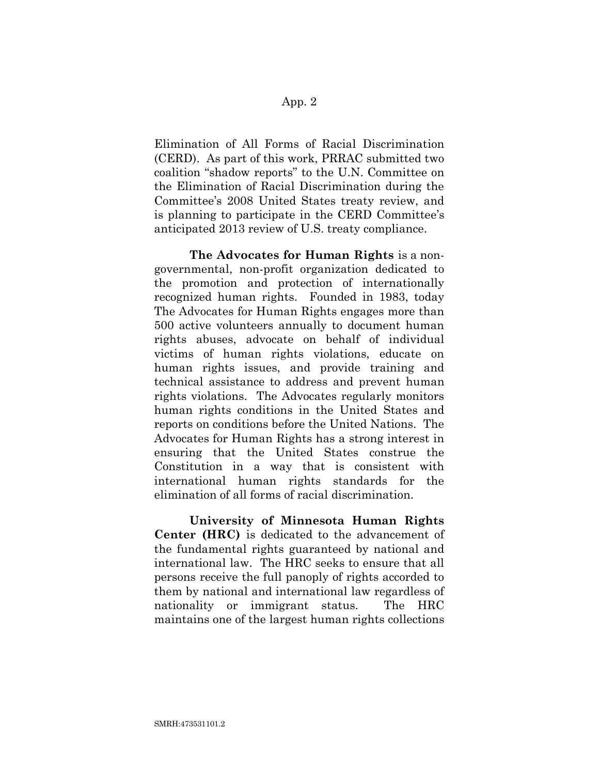## App. 2

Elimination of All Forms of Racial Discrimination (CERD). As part of this work, PRRAC submitted two coalition "shadow reports" to the U.N. Committee on the Elimination of Racial Discrimination during the Committee's 2008 United States treaty review, and is planning to participate in the CERD Committee's anticipated 2013 review of U.S. treaty compliance.

**The Advocates for Human Rights** is a nongovernmental, non-profit organization dedicated to the promotion and protection of internationally recognized human rights. Founded in 1983, today The Advocates for Human Rights engages more than 500 active volunteers annually to document human rights abuses, advocate on behalf of individual victims of human rights violations, educate on human rights issues, and provide training and technical assistance to address and prevent human rights violations. The Advocates regularly monitors human rights conditions in the United States and reports on conditions before the United Nations. The Advocates for Human Rights has a strong interest in ensuring that the United States construe the Constitution in a way that is consistent with international human rights standards for the elimination of all forms of racial discrimination.

**University of Minnesota Human Rights Center (HRC)** is dedicated to the advancement of the fundamental rights guaranteed by national and international law. The HRC seeks to ensure that all persons receive the full panoply of rights accorded to them by national and international law regardless of nationality or immigrant status. The HRC maintains one of the largest human rights collections